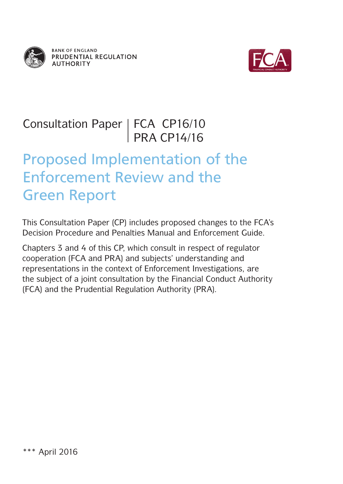

**BANK OF ENGLAND** PRUDENTIAL REGULATION **AUTHORITY** 



## Consultation Paper | FCA CP16/10 PRA CP14/16

# Proposed Implementation of the Enforcement Review and the Green Report

This Consultation Paper (CP) includes proposed changes to the FCA's Decision Procedure and Penalties Manual and Enforcement Guide.

Chapters 3 and 4 of this CP, which consult in respect of regulator cooperation (FCA and PRA) and subjects' understanding and representations in the context of Enforcement Investigations, are the subject of a joint consultation by the Financial Conduct Authority (FCA) and the Prudential Regulation Authority (PRA).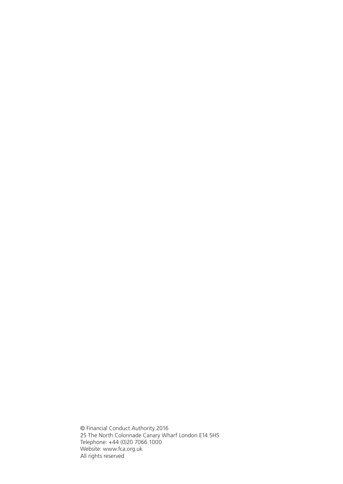© Financial Conduct Authority 2016 25 The North Colonnade Canary Wharf London E14 5HS Telephone: +44 (0)20 7066 1000 Website: [www.fca.org.uk](www.fca.gov.uk) All rights reserved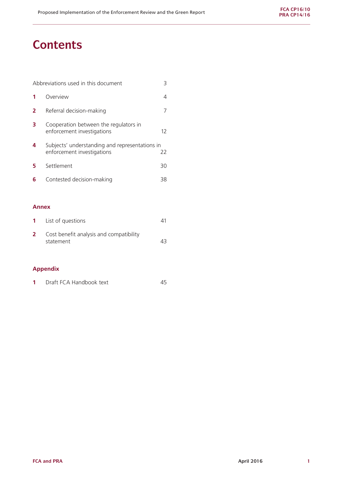## **Contents**

| Abbreviations used in this document |                                                                              |    |
|-------------------------------------|------------------------------------------------------------------------------|----|
|                                     | Overview                                                                     | 4  |
| 2                                   | Referral decision-making                                                     |    |
| 3                                   | Cooperation between the regulators in<br>enforcement investigations          | 12 |
| 4                                   | Subjects' understanding and representations in<br>enforcement investigations | 22 |
| 5                                   | Settlement                                                                   | 30 |
| 6                                   | Contested decision-making                                                    |    |

### **Annex**

| List of questions                                    |    |
|------------------------------------------------------|----|
| Cost benefit analysis and compatibility<br>statement | 43 |
|                                                      |    |

## **Appendix**

**1** Draft FCA Handbook text 45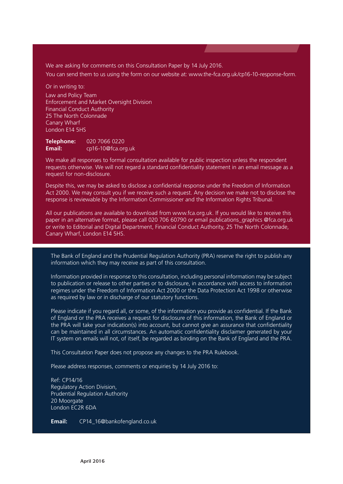We are asking for comments on this Consultation Paper by 14 July 2016.

You can send them to us using the form on our website at: [www.the-fca.org.uk/cp16-10-response-form.](http://www.the-fca.org.uk/cp16-10-response-form)

Or in writing to:

Law and Policy Team Enforcement and Market Oversight Division Financial Conduct Authority 25 The North Colonnade Canary Wharf London E14 5HS

**Telephone:** 020 7066 0220 **Email:** [cp16-10@fca.org.uk](mailto:cp16-10@fca.org.uk)

We make all responses to formal consultation available for public inspection unless the respondent requests otherwise. We will not regard a standard confidentiality statement in an email message as a request for non-disclosure.

Despite this, we may be asked to disclose a confidential response under the Freedom of Information Act 2000. We may consult you if we receive such a request. Any decision we make not to disclose the response is reviewable by the Information Commissioner and the Information Rights Tribunal.

All our publications are available to download from www.fca.org.uk. If you would like to receive this paper in an alternative format, please call 020 706 60790 or email publications\_graphics @fca.org.uk or write to Editorial and Digital Department, Financial Conduct Authority, 25 The North Colonnade, Canary Wharf, London E14 5HS.

The Bank of England and the Prudential Regulation Authority (PRA) reserve the right to publish any information which they may receive as part of this consultation.

Information provided in response to this consultation, including personal information may be subject to publication or release to other parties or to disclosure, in accordance with access to information regimes under the Freedom of Information Act 2000 or the Data Protection Act 1998 or otherwise as required by law or in discharge of our statutory functions.

Please indicate if you regard all, or some, of the information you provide as confidential. If the Bank of England or the PRA receives a request for disclosure of this information, the Bank of England or the PRA will take your indication(s) into account, but cannot give an assurance that confidentiality can be maintained in all circumstances. An automatic confidentiality disclaimer generated by your IT system on emails will not, of itself, be regarded as binding on the Bank of England and the PRA.

This Consultation Paper does not propose any changes to the PRA Rulebook.

Please address responses, comments or enquiries by 14 July 2016 to:

Ref: CP14/16 Regulatory Action Division, Prudential Regulation Authority 20 Moorgate London EC2R 6DA

**Email:** CP14\_16@bankofengland.co.uk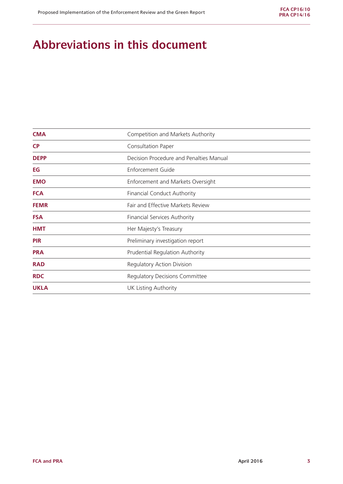## **Abbreviations in this document**

| <b>CMA</b>  | Competition and Markets Authority       |
|-------------|-----------------------------------------|
| <b>CP</b>   | Consultation Paper                      |
| <b>DEPP</b> | Decision Procedure and Penalties Manual |
| EG          | Enforcement Guide                       |
| <b>EMO</b>  | Enforcement and Markets Oversight       |
| <b>FCA</b>  | <b>Financial Conduct Authority</b>      |
| <b>FEMR</b> | Fair and Effective Markets Review       |
| <b>FSA</b>  | <b>Financial Services Authority</b>     |
| <b>HMT</b>  | Her Majesty's Treasury                  |
| <b>PIR</b>  | Preliminary investigation report        |
| <b>PRA</b>  | Prudential Regulation Authority         |
| <b>RAD</b>  | <b>Regulatory Action Division</b>       |
| <b>RDC</b>  | <b>Regulatory Decisions Committee</b>   |
| <b>UKLA</b> | <b>UK Listing Authority</b>             |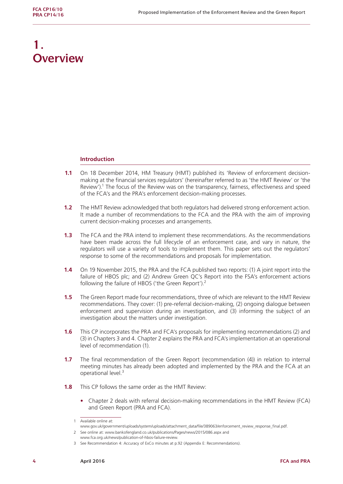## **1. Overview**

#### **Introduction**

- **1.1** On 18 December 2014, HM Treasury (HMT) published its 'Review of enforcement decisionmaking at the financial services regulators' (hereinafter referred to as 'the HMT Review' or 'the Review').<sup>1</sup> The focus of the Review was on the transparency, fairness, effectiveness and speed of the FCA's and the PRA's enforcement decision-making processes.
- **1.2** The HMT Review acknowledged that both regulators had delivered strong enforcement action. It made a number of recommendations to the FCA and the PRA with the aim of improving current decision-making processes and arrangements.
- **1.3** The FCA and the PRA intend to implement these recommendations. As the recommendations have been made across the full lifecycle of an enforcement case, and vary in nature, the regulators will use a variety of tools to implement them. This paper sets out the regulators' response to some of the recommendations and proposals for implementation.
- **1.4** On 19 November 2015, the PRA and the FCA published two reports: (1) A joint report into the failure of HBOS plc; and (2) Andrew Green QC's Report into the FSA's enforcement actions following the failure of HBOS ('the Green Report').<sup>2</sup>
- **1.5** The Green Report made four recommendations, three of which are relevant to the HMT Review recommendations. They cover: (1) pre-referral decision-making, (2) ongoing dialogue between enforcement and supervision during an investigation, and (3) informing the subject of an investigation about the matters under investigation.
- **1.6** This CP incorporates the PRA and FCA's proposals for implementing recommendations (2) and (3) in Chapters 3 and 4. Chapter 2 explains the PRA and FCA's implementation at an operational level of recommendation (1).
- **1.7** The final recommendation of the Green Report (recommendation (4)) in relation to internal meeting minutes has already been adopted and implemented by the PRA and the FCA at an operational level.<sup>3</sup>
- **1.8** This CP follows the same order as the HMT Review:
	- **•** Chapter 2 deals with referral decision-making recommendations in the HMT Review (FCA) and Green Report (PRA and FCA).

<sup>1</sup> Available online at:

[www.gov.uk/government/uploads/system/uploads/attachment\\_data/file/389063/enforcement\\_review\\_response\\_final.pdf.](www.gov.uk/government/uploads/system/uploads/attachment_data/file/389063/enforcement_review_response_final.pdf.)

<sup>2</sup> See online at: www.bankofengland.co.uk/publications/Pages/news/2015/086.aspx and [www.fca.org.uk/news/publication-of-hbos-failure-review.](www.fca.org.uk/news/publication-of-hbos-failure-review)

<sup>3</sup> See Recommendation 4: Accuracy of ExCo minutes at p.92 (Appendix E: Recommendations).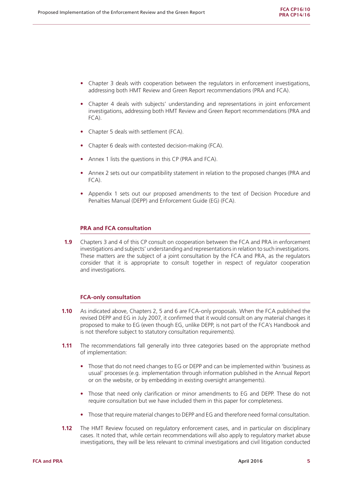- **•** Chapter 3 deals with cooperation between the regulators in enforcement investigations, addressing both HMT Review and Green Report recommendations (PRA and FCA).
- Chapter 4 deals with subjects' understanding and representations in joint enforcement investigations, addressing both HMT Review and Green Report recommendations (PRA and  $FCA$ ).
- **•** Chapter 5 deals with settlement (FCA).
- **•** Chapter 6 deals with contested decision-making (FCA).
- **•** Annex 1 lists the questions in this CP (PRA and FCA).
- **•** Annex 2 sets out our compatibility statement in relation to the proposed changes (PRA and  $FCA$ ).
- **•** Appendix 1 sets out our proposed amendments to the text of Decision Procedure and Penalties Manual (DEPP) and Enforcement Guide (EG) (FCA).

#### **PRA and FCA consultation**

**1.9** Chapters 3 and 4 of this CP consult on cooperation between the FCA and PRA in enforcement investigations and subjects' understanding and representations in relation to such investigations. These matters are the subject of a joint consultation by the FCA and PRA, as the regulators consider that it is appropriate to consult together in respect of regulator cooperation and investigations.

#### **FCA-only consultation**

- **1.10** As indicated above, Chapters 2, 5 and 6 are FCA-only proposals. When the FCA published the revised DEPP and EG in July 2007, it confirmed that it would consult on any material changes it proposed to make to EG (even though EG, unlike DEPP, is not part of the FCA's Handbook and is not therefore subject to statutory consultation requirements).
- **1.11** The recommendations fall generally into three categories based on the appropriate method of implementation:
	- **•** Those that do not need changes to EG or DEPP and can be implemented within 'business as usual' processes (e.g. implementation through information published in the Annual Report or on the website, or by embedding in existing oversight arrangements).
	- **•** Those that need only clarification or minor amendments to EG and DEPP. These do not require consultation but we have included them in this paper for completeness.
	- **•** Those that require material changes to DEPP and EG and therefore need formal consultation.
- **1.12** The HMT Review focused on regulatory enforcement cases, and in particular on disciplinary cases. It noted that, while certain recommendations will also apply to regulatory market abuse investigations, they will be less relevant to criminal investigations and civil litigation conducted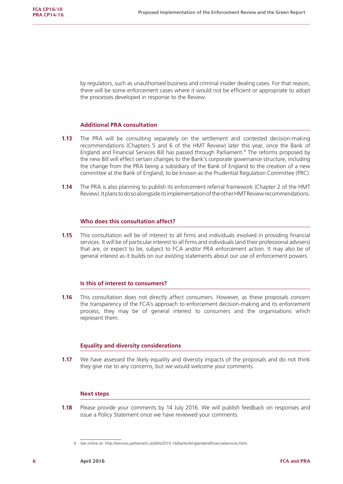by regulators, such as unauthorised business and criminal insider dealing cases. For that reason, there will be some enforcement cases where it would not be efficient or appropriate to adopt the processes developed in response to the Review.

#### **Additional PRA consultation**

- **1.13** The PRA will be consulting separately on the settlement and contested decision-making recommendations (Chapters 5 and 6 of the HMT Review) later this year, once the Bank of England and Financial Services Bill has passed through Parliament.<sup>4</sup> The reforms proposed by the new Bill will effect certain changes to the Bank's corporate governance structure, including the change from the PRA being a subsidiary of the Bank of England to the creation of a new committee at the Bank of England, to be known as the Prudential Regulation Committee (PRC).
- **1.14** The PRA is also planning to publish its enforcement referral framework (Chapter 2 of the HMT Review). It plans to do so alongside its implementation of the other HMT Review recommendations.

#### **Who does this consultation affect?**

**1.15** This consultation will be of interest to all firms and individuals involved in providing financial services. It will be of particular interest to all firms and individuals (and their professional advisers) that are, or expect to be, subject to FCA and/or PRA enforcement action. It may also be of general interest as it builds on our existing statements about our use of enforcement powers.

#### **Is this of interest to consumers?**

**1.16** This consultation does not directly affect consumers. However, as these proposals concern the transparency of the FCA's approach to enforcement decision-making and its enforcement process, they may be of general interest to consumers and the organisations which represent them.

#### **Equality and diversity considerations**

**1.17** We have assessed the likely equality and diversity impacts of the proposals and do not think they give rise to any concerns, but we would welcome your comments.

#### **Next steps**

**1.18** Please provide your comments by 14 July 2016. We will publish feedback on responses and issue a Policy Statement once we have reviewed your comments.

<sup>4</sup> See online at: [http://services.parliament.uk/bills/2015-16/bankofenglandandfinancialservices.html.](http://services.parliament.uk/bills/2015-16/bankofenglandandfinancialservices.html)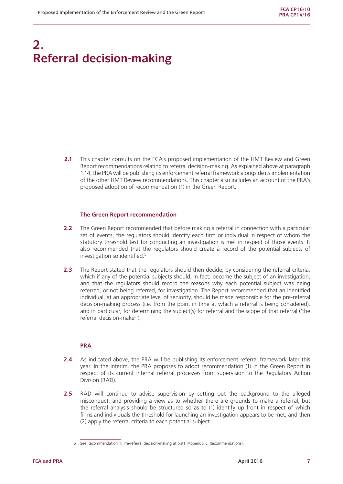## **2. Referral decision-making**

**2.1** This chapter consults on the FCA's proposed implementation of the HMT Review and Green Report recommendations relating to referral decision-making. As explained above at paragraph 1.14, the PRA will be publishing its enforcement referral framework alongside its implementation of the other HMT Review recommendations. This chapter also includes an account of the PRA's proposed adoption of recommendation (1) in the Green Report.

#### **The Green Report recommendation**

- **2.2** The Green Report recommended that before making a referral in connection with a particular set of events, the regulators should identify each firm or individual in respect of whom the statutory threshold test for conducting an investigation is met in respect of those events. It also recommended that the regulators should create a record of the potential subjects of investigation so identified.<sup>5</sup>
- **2.3** The Report stated that the regulators should then decide, by considering the referral criteria, which if any of the potential subjects should, in fact, become the subject of an investigation, and that the regulators should record the reasons why each potential subject was being referred, or not being referred, for investigation. The Report recommended that an identified individual, at an appropriate level of seniority, should be made responsible for the pre-referral decision-making process (i.e. from the point in time at which a referral is being considered), and in particular, for determining the subject(s) for referral and the scope of that referral ('the referral decision-maker').

#### **PRA**

- **2.4** As indicated above, the PRA will be publishing its enforcement referral framework later this year. In the interim, the PRA proposes to adopt recommendation (1) in the Green Report in respect of its current internal referral processes from supervision to the Regulatory Action Division (RAD).
- **2.5** RAD will continue to advise supervision by setting out the background to the alleged misconduct, and providing a view as to whether there are grounds to make a referral, but the referral analysis should be structured so as to (1) identify up front in respect of which firms and individuals the threshold for launching an investigation appears to be met, and then (2) apply the referral criteria to each potential subject.

<sup>5</sup> See Recommendation 1: Pre-referral decision-making at p.91 (Appendix E: Recommendations).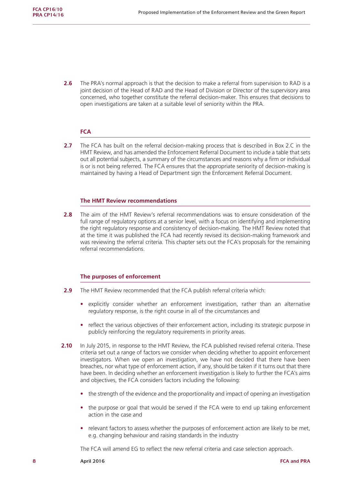**2.6** The PRA's normal approach is that the decision to make a referral from supervision to RAD is a joint decision of the Head of RAD and the Head of Division or Director of the supervisory area concerned, who together constitute the referral decision-maker. This ensures that decisions to open investigations are taken at a suitable level of seniority within the PRA.

### **FCA**

**2.7** The FCA has built on the referral decision-making process that is described in Box 2.C in the HMT Review, and has amended the Enforcement Referral Document to include a table that sets out all potential subjects, a summary of the circumstances and reasons why a firm or individual is or is not being referred. The FCA ensures that the appropriate seniority of decision-making is maintained by having a Head of Department sign the Enforcement Referral Document.

#### **The HMT Review recommendations**

**2.8** The aim of the HMT Review's referral recommendations was to ensure consideration of the full range of regulatory options at a senior level, with a focus on identifying and implementing the right regulatory response and consistency of decision-making. The HMT Review noted that at the time it was published the FCA had recently revised its decision-making framework and was reviewing the referral criteria. This chapter sets out the FCA's proposals for the remaining referral recommendations.

#### **The purposes of enforcement**

- **2.9** The HMT Review recommended that the FCA publish referral criteria which:
	- **•** explicitly consider whether an enforcement investigation, rather than an alternative regulatory response, is the right course in all of the circumstances and
	- reflect the various objectives of their enforcement action, including its strategic purpose in publicly reinforcing the regulatory requirements in priority areas.
- **2.10** In July 2015, in response to the HMT Review, the FCA published revised referral criteria. These criteria set out a range of factors we consider when deciding whether to appoint enforcement investigators. When we open an investigation, we have not decided that there have been breaches, nor what type of enforcement action, if any, should be taken if it turns out that there have been. In deciding whether an enforcement investigation is likely to further the FCA's aims and objectives, the FCA considers factors including the following:
	- the strength of the evidence and the proportionality and impact of opening an investigation
	- **•** the purpose or goal that would be served if the FCA were to end up taking enforcement action in the case and
	- relevant factors to assess whether the purposes of enforcement action are likely to be met, e.g. changing behaviour and raising standards in the industry

The FCA will amend EG to reflect the new referral criteria and case selection approach.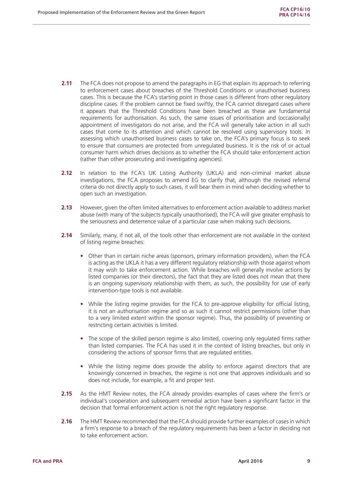- **2.11** The FCA does not propose to amend the paragraphs in EG that explain its approach to referring to enforcement cases about breaches of the Threshold Conditions or unauthorised business cases. This is because the FCA's starting point in those cases is different from other regulatory discipline cases. If the problem cannot be fixed swiftly, the FCA cannot disregard cases where it appears that the Threshold Conditions have been breached as these are fundamental requirements for authorisation. As such, the same issues of prioritisation and (occasionally) appointment of investigators do not arise, and the FCA will generally take action in all such cases that come to its attention and which cannot be resolved using supervisory tools. In assessing which unauthorised business cases to take on, the FCA's primary focus is to seek to ensure that consumers are protected from unregulated business. It is the risk of or actual consumer harm which drives decisions as to whether the FCA should take enforcement action (rather than other prosecuting and investigating agencies).
- 2.12 In relation to the FCA's UK Listing Authority (UKLA) and non-criminal market abuse investigations, the FCA proposes to amend EG to clarify that, although the revised referral criteria do not directly apply to such cases, it will bear them in mind when deciding whether to open such an investigation.
- **2.13** However, given the often limited alternatives to enforcement action available to address market abuse (with many of the subjects typically unauthorised), the FCA will give greater emphasis to the seriousness and deterrence value of a particular case when making such decisions.
- **2.14** Similarly, many, if not all, of the tools other than enforcement are not available in the context of listing regime breaches:
	- **•** Other than in certain niche areas (sponsors, primary information providers), when the FCA is acting as the UKLA it has a very different regulatory relationship with those against whom it may wish to take enforcement action. While breaches will generally involve actions by listed companies (or their directors), the fact that they are listed does not mean that there is an ongoing supervisory relationship with them; as such, the possibility for use of early intervention-type tools is not available.
	- While the listing regime provides for the FCA to pre-approve eligibility for official listing, it is not an authorisation regime and so as such it cannot restrict permissions (other than to a very limited extent within the sponsor regime). Thus, the possibility of preventing or restricting certain activities is limited.
	- **•** The scope of the skilled person regime is also limited, covering only regulated firms rather than listed companies. The FCA has used it in the context of listing breaches, but only in considering the actions of sponsor firms that are regulated entities.
	- **•** While the listing regime does provide the ability to enforce against directors that are knowingly concerned in breaches, the regime is not one that approves individuals and so does not include, for example, a fit and proper test.
- **2.15** As the HMT Review notes, the FCA already provides examples of cases where the firm's or individual's cooperation and subsequent remedial action have been a significant factor in the decision that formal enforcement action is not the right regulatory response.
- **2.16** The HMT Review recommended that the FCA should provide further examples of cases in which a firm's response to a breach of the regulatory requirements has been a factor in deciding not to take enforcement action.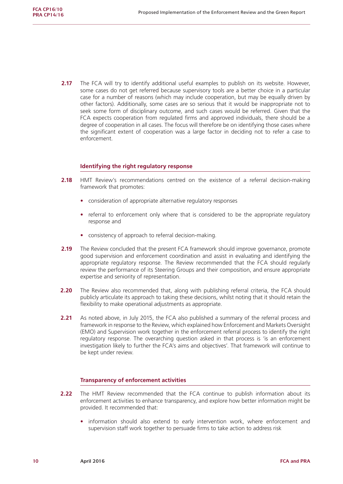**2.17** The FCA will try to identify additional useful examples to publish on its website. However, some cases do not get referred because supervisory tools are a better choice in a particular case for a number of reasons (which may include cooperation, but may be equally driven by other factors). Additionally, some cases are so serious that it would be inappropriate not to seek some form of disciplinary outcome, and such cases would be referred. Given that the FCA expects cooperation from regulated firms and approved individuals, there should be a degree of cooperation in all cases. The focus will therefore be on identifying those cases where the significant extent of cooperation was a large factor in deciding not to refer a case to enforcement.

#### **Identifying the right regulatory response**

- **2.18** HMT Review's recommendations centred on the existence of a referral decision-making framework that promotes:
	- **•** consideration of appropriate alternative regulatory responses
	- referral to enforcement only where that is considered to be the appropriate regulatory response and
	- **•** consistency of approach to referral decision-making.
- **2.19** The Review concluded that the present FCA framework should improve governance, promote good supervision and enforcement coordination and assist in evaluating and identifying the appropriate regulatory response. The Review recommended that the FCA should regularly review the performance of its Steering Groups and their composition, and ensure appropriate expertise and seniority of representation.
- **2.20** The Review also recommended that, along with publishing referral criteria, the FCA should publicly articulate its approach to taking these decisions, whilst noting that it should retain the flexibility to make operational adjustments as appropriate.
- **2.21** As noted above, in July 2015, the FCA also published a summary of the referral process and framework in response to the Review, which explained how Enforcement and Markets Oversight (EMO) and Supervision work together in the enforcement referral process to identify the right regulatory response. The overarching question asked in that process is 'is an enforcement investigation likely to further the FCA's aims and objectives'. That framework will continue to be kept under review.

#### **Transparency of enforcement activities**

- **2.22** The HMT Review recommended that the FCA continue to publish information about its enforcement activities to enhance transparency, and explore how better information might be provided. It recommended that:
	- **•** information should also extend to early intervention work, where enforcement and supervision staff work together to persuade firms to take action to address risk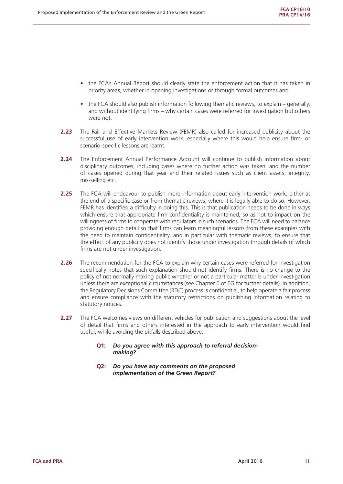- **•** the FCA's Annual Report should clearly state the enforcement action that it has taken in priority areas, whether in opening investigations or through formal outcomes and
- the FCA should also publish information following thematic reviews, to explain generally, and without identifying firms – why certain cases were referred for investigation but others were not.
- 2.23 The Fair and Effective Markets Review (FEMR) also called for increased publicity about the successful use of early intervention work, especially where this would help ensure firm- or scenario-specific lessons are learnt.
- **2.24** The Enforcement Annual Performance Account will continue to publish information about disciplinary outcomes, including cases where no further action was taken, and the number of cases opened during that year and their related issues such as client assets, integrity, mis-selling etc.
- **2.25** The FCA will endeavour to publish more information about early intervention work, either at the end of a specific case or from thematic reviews, where it is legally able to do so. However, FEMR has identified a difficulty in doing this. This is that publication needs to be done in ways which ensure that appropriate firm confidentiality is maintained, so as not to impact on the willingness of firms to cooperate with regulators in such scenarios. The FCA will need to balance providing enough detail so that firms can learn meaningful lessons from these examples with the need to maintain confidentiality, and in particular with thematic reviews, to ensure that the effect of any publicity does not identify those under investigation through details of which firms are not under investigation.
- **2.26** The recommendation for the FCA to explain why certain cases were referred for investigation specifically notes that such explanation should not identify firms. There is no change to the policy of not normally making public whether or not a particular matter is under investigation unless there are exceptional circumstances (see Chapter 6 of EG for further details). In addition, the Regulatory Decisions Committee (RDC) process is confidential, to help operate a fair process and ensure compliance with the statutory restrictions on publishing information relating to statutory notices.
- **2.27** The FCA welcomes views on different vehicles for publication and suggestions about the level of detail that firms and others interested in the approach to early intervention would find useful, while avoiding the pitfalls described above.
	- **Q1:** *Do you agree with this approach to referral decisionmaking?*
	- **Q2:** *Do you have any comments on the proposed implementation of the Green Report?*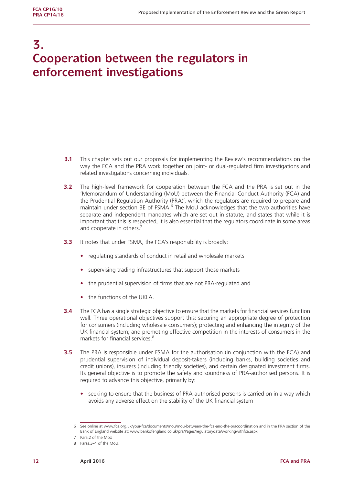## **3. Cooperation between the regulators in enforcement investigations**

- **3.1** This chapter sets out our proposals for implementing the Review's recommendations on the way the FCA and the PRA work together on joint- or dual-regulated firm investigations and related investigations concerning individuals.
- **3.2** The high-level framework for cooperation between the FCA and the PRA is set out in the 'Memorandum of Understanding (MoU) between the Financial Conduct Authority (FCA) and the Prudential Regulation Authority (PRA)', which the regulators are required to prepare and maintain under section 3E of FSMA.<sup>6</sup> The MoU acknowledges that the two authorities have separate and independent mandates which are set out in statute, and states that while it is important that this is respected, it is also essential that the regulators coordinate in some areas and cooperate in others.<sup>7</sup>
- **3.3** It notes that under FSMA, the FCA's responsibility is broadly:
	- **•** regulating standards of conduct in retail and wholesale markets
	- **•** supervising trading infrastructures that support those markets
	- **•** the prudential supervision of firms that are not PRA-regulated and
	- **•** the functions of the UKLA.
- **3.4** The FCA has a single strategic objective to ensure that the markets for financial services function well. Three operational objectives support this: securing an appropriate degree of protection for consumers (including wholesale consumers); protecting and enhancing the integrity of the UK financial system; and promoting effective competition in the interests of consumers in the markets for financial services.<sup>8</sup>
- **3.5** The PRA is responsible under FSMA for the authorisation (in conjunction with the FCA) and prudential supervision of individual deposit-takers (including banks, building societies and credit unions), insurers (including friendly societies), and certain designated investment firms. Its general objective is to promote the safety and soundness of PRA-authorised persons. It is required to advance this objective, primarily by:
	- **•** seeking to ensure that the business of PRA-authorised persons is carried on in a way which avoids any adverse effect on the stability of the UK financial system

<sup>6</sup> See online at<www.fca.org.uk/your-fca/documents/mou/mou-between-the-fca-and-the-pracoordination>and in the PRA section of the Bank of England website at: www.bankofengland.co.uk/pra/Pages/regulatorydata/workingwithfca.aspx.

<sup>7</sup> Para.2 of the MoU.

<sup>8</sup> Paras 3–4 of the MoU.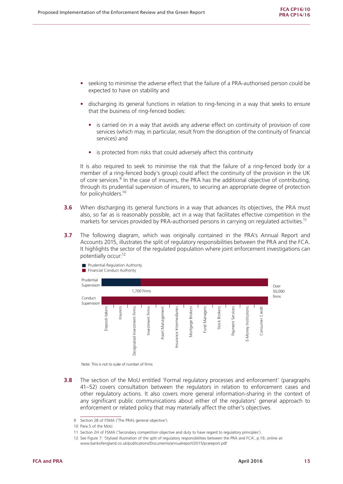- **•** seeking to minimise the adverse effect that the failure of a PRA-authorised person could be expected to have on stability and
- **•** discharging its general functions in relation to ring-fencing in a way that seeks to ensure that the business of ring-fenced bodies:
	- **•** is carried on in a way that avoids any adverse effect on continuity of provision of core services (which may, in particular, result from the disruption of the continuity of financial services) and
	- **•** is protected from risks that could adversely affect this continuity

It is also required to seek to minimise the risk that the failure of a ring-fenced body (or a member of a ring-fenced body's group) could affect the continuity of the provision in the UK of core services.<sup>9</sup> In the case of insurers, the PRA has the additional objective of contributing, through its prudential supervision of insurers, to securing an appropriate degree of protection for policyholders.<sup>10</sup>

- **3.6** When discharging its general functions in a way that advances its objectives, the PRA must also, so far as is reasonably possible, act in a way that facilitates effective competition in the markets for services provided by PRA-authorised persons in carrying on regulated activities.<sup>11</sup>
- **3.7** The following diagram, which was originally contained in the PRA's Annual Report and Accounts 2015, illustrates the split of regulatory responsibilities between the PRA and the FCA. It highlights the sector of the regulated population where joint enforcement investigations can potentially occur:12



Note: This is not to scale of number of firms

**3.8** The section of the MoU entitled 'Formal regulatory processes and enforcement' (paragraphs 41–52) covers consultation between the regulators in relation to enforcement cases and other regulatory actions. It also covers more general information-sharing in the context of any significant public communications about either of the regulators' general approach to enforcement or related policy that may materially affect the other's objectives.

<sup>9</sup> Section 2B of FSMA ('The PRA's general objective').

<sup>10</sup> Para.5 of the MoU.

<sup>11</sup> Section 2H of FSMA ('Secondary competition objective and duty to have regard to regulatory principles').

<sup>12</sup> See Figure 7: 'Stylised illustration of the split of regulatory responsibilities between the PRA and FCA', p.19, online at: <www.bankofengland.co.uk/publications/Documents/annualreport/2015/prareport.pdf>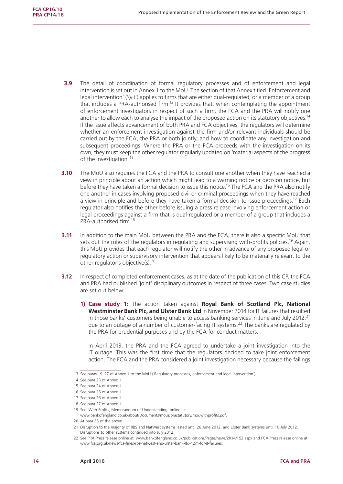- **3.9** The detail of coordination of formal regulatory processes and of enforcement and legal intervention is set out in Annex 1 to the MoU. The section of that Annex titled 'Enforcement and legal intervention' ('(vi)') applies to firms that are either dual-regulated, or a member of a group that includes a PRA-authorised firm.13 It provides that, when contemplating the appointment of enforcement investigators in respect of such a firm, the FCA and the PRA will notify one another to allow each to analyse the impact of the proposed action on its statutory objectives.<sup>14</sup> If the issue affects advancement of both PRA and FCA objectives, the regulators will determine whether an enforcement investigation against the firm and/or relevant individuals should be carried out by the FCA, the PRA or both jointly, and how to coordinate any investigation and subsequent proceedings. Where the PRA or the FCA proceeds with the investigation on its own, they must keep the other regulator regularly updated on 'material aspects of the progress of the investigation'.<sup>15</sup>
- **3.10** The MoU also requires the FCA and the PRA to consult one another when they have reached a view in principle about an action which might lead to a warning notice or decision notice, but before they have taken a formal decision to issue this notice.<sup>16</sup> The FCA and the PRA also notify one another in cases involving proposed civil or criminal proceedings when they have reached a view in principle and before they have taken a formal decision to issue proceedings.<sup>17</sup> Each regulator also notifies the other before issuing a press release involving enforcement action or legal proceedings against a firm that is dual-regulated or a member of a group that includes a PRA-authorised firm.18
- **3.11** In addition to the main MoU between the PRA and the FCA, there is also a specific MoU that sets out the roles of the regulators in regulating and supervising with-profits policies.<sup>19</sup> Again, this MoU provides that each regulator will notify the other in advance of any proposed legal or regulatory action or supervisory intervention that appears likely to be materially relevant to the other regulator's objective(s).<sup>20</sup>
- **3.12** In respect of completed enforcement cases, as at the date of the publication of this CP, the FCA and PRA had published 'joint' disciplinary outcomes in respect of three cases. Two case studies are set out below:
	- **1) Case study 1:** The action taken against **Royal Bank of Scotland Plc, National Westminster Bank Plc, and Ulster Bank Ltd** in November 2014 for IT failures that resulted in those banks' customers being unable to access banking services in June and July 2012.<sup>21</sup> due to an outage of a number of customer-facing IT systems.<sup>22</sup> The banks are regulated by the PRA for prudential purposes and by the FCA for conduct matters.

In April 2013, the PRA and the FCA agreed to undertake a joint investigation into the IT outage. This was the first time that the regulators decided to take joint enforcement action. The FCA and the PRA considered a joint investigation necessary because the failings

<sup>13</sup> See paras.19–27 of Annex 1 to the MoU ('Regulatory processes, enforcement and legal intervention').

<sup>14</sup> See para.23 of Annex 1.

<sup>15</sup> See para.24 of Annex 1.

<sup>16</sup> See para.25 of Annex 1.

<sup>17</sup> See para.26 of Annex 1.

<sup>18</sup> See para.27 of Annex 1.

<sup>19</sup> See 'With-Profits, Memorandum of Understanding' online at:

[www.bankofengland.co.uk/about/Documents/mous/prastatutory/mouwithprofits.pdf.](www.bankofengland.co.uk/about/Documents/mous/prastatutory/mouwithprofits.pdf) 

<sup>20</sup> At para.35 of the above.

<sup>21</sup> Disruption to the majority of RBS and NatWest systems lasted until 26 June 2012, and Ulster Bank systems until 10 July 2012. Disruptions to other systems continued into July 2012.

<sup>22</sup> See PRA Press release online at: www.bankofengland.co.uk/publications/Pages/news/2014/152.aspx and FCA Press release online at: [www.fca.org.uk/news/fca-fines-rbs-natwest-and-ulster-bank-ltd-42m-for-it-failures.](www.fca.org.uk/news/fca-fines-rbs-natwest-and-ulster-bank-ltd-42m-for-it-failures)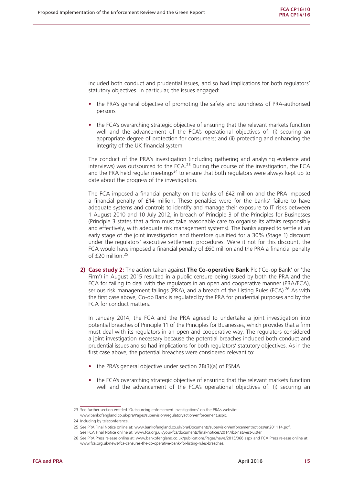included both conduct and prudential issues, and so had implications for both regulators' statutory objectives. In particular, the issues engaged:

- the PRA's general objective of promoting the safety and soundness of PRA-authorised persons
- **•** the FCA's overarching strategic objective of ensuring that the relevant markets function well and the advancement of the FCA's operational objectives of: (i) securing an appropriate degree of protection for consumers; and (ii) protecting and enhancing the integrity of the UK financial system

The conduct of the PRA's investigation (including gathering and analysing evidence and interviews) was outsourced to the FCA.<sup>23</sup> During the course of the investigation, the FCA and the PRA held regular meetings<sup>24</sup> to ensure that both regulators were always kept up to date about the progress of the investigation.

The FCA imposed a financial penalty on the banks of £42 million and the PRA imposed a financial penalty of £14 million. These penalties were for the banks' failure to have adequate systems and controls to identify and manage their exposure to IT risks between 1 August 2010 and 10 July 2012, in breach of Principle 3 of the Principles for Businesses (Principle 3 states that a firm must take reasonable care to organise its affairs responsibly and effectively, with adequate risk management systems). The banks agreed to settle at an early stage of the joint investigation and therefore qualified for a 30% (Stage 1) discount under the regulators' executive settlement procedures. Were it not for this discount, the FCA would have imposed a financial penalty of £60 million and the PRA a financial penalty of £20 million.<sup>25</sup>

**2) Case study 2:** The action taken against **The Co-operative Bank** Plc ('Co-op Bank' or 'the Firm') in August 2015 resulted in a public censure being issued by both the PRA and the FCA for failing to deal with the regulators in an open and cooperative manner (PRA/FCA), serious risk management failings (PRA), and a breach of the Listing Rules (FCA).<sup>26</sup> As with the first case above, Co-op Bank is regulated by the PRA for prudential purposes and by the FCA for conduct matters.

In January 2014, the FCA and the PRA agreed to undertake a joint investigation into potential breaches of Principle 11 of the Principles for Businesses, which provides that a firm must deal with its regulators in an open and cooperative way. The regulators considered a joint investigation necessary because the potential breaches included both conduct and prudential issues and so had implications for both regulators' statutory objectives. As in the first case above, the potential breaches were considered relevant to:

- **•** the PRA's general objective under section 2B(3)(a) of FSMA
- **•** the FCA's overarching strategic objective of ensuring that the relevant markets function well and the advancement of the FCA's operational objectives of: (i) securing an

<sup>23</sup> See further section entitled 'Outsourcing enforcement investigations' on the PRA's website:

[www.bankofengland.co.uk/pra/Pages/supervision/regulatoryaction/enforcement.aspx.](www.bankofengland.co.uk/pra/Pages/supervision/regulatoryaction/enforcement.aspx)

<sup>24</sup> Including by teleconference

<sup>25</sup> See PRA Final Notice online at: [www.bankofengland.co.uk/pra/Documents/supervision/enforcementnotices/en201114.pdf.](www.bankofengland.co.uk/pra/Documents/supervision/enforcementnotices/en201114.pdf)  See FCA Final Notice online at: <www.fca.org.uk/your-fca/documents/final-notices/2014/rbs-natwest-ulster>

<sup>26</sup> See PRA Press release online at: www.bankofengland.co.uk/publications/Pages/news/2015/066.aspx and FCA Press release online at: [www.fca.org.uk/news/fca-censures-the-co-operative-bank-for-listing-rules-breaches.](www.fca.org.uk/news/fca-censures-the-co-operative-bank-for-listing-rules-breaches)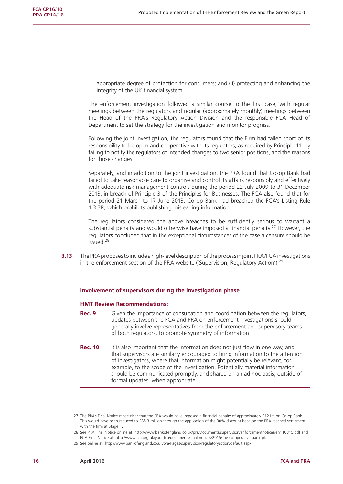appropriate degree of protection for consumers; and (ii) protecting and enhancing the integrity of the UK financial system

The enforcement investigation followed a similar course to the first case, with regular meetings between the regulators and regular (approximately monthly) meetings between the Head of the PRA's Regulatory Action Division and the responsible FCA Head of Department to set the strategy for the investigation and monitor progress.

Following the joint investigation, the regulators found that the Firm had fallen short of its responsibility to be open and cooperative with its regulators, as required by Principle 11, by failing to notify the regulators of intended changes to two senior positions, and the reasons for those changes.

Separately, and in addition to the joint investigation, the PRA found that Co-op Bank had failed to take reasonable care to organise and control its affairs responsibly and effectively with adequate risk management controls during the period 22 July 2009 to 31 December 2013, in breach of Principle 3 of the Principles for Businesses. The FCA also found that for the period 21 March to 17 June 2013, Co-op Bank had breached the FCA's Listing Rule 1.3.3R, which prohibits publishing misleading information.

The regulators considered the above breaches to be sufficiently serious to warrant a substantial penalty and would otherwise have imposed a financial penalty.<sup>27</sup> However, the regulators concluded that in the exceptional circumstances of the case a censure should be issued.<sup>28</sup>

**3.13** The PRA proposes to include a high-level description of the process in joint PRA/FCA investigations in the enforcement section of the PRA website ('Supervision, Regulatory Action').<sup>29</sup>

#### **Involvement of supervisors during the investigation phase**

#### **HMT Review Recommendations:**

**Rec. 9** Given the importance of consultation and coordination between the regulators, updates between the FCA and PRA on enforcement investigations should generally involve representatives from the enforcement and supervisory teams of both regulators, to promote symmetry of information.

**Rec. 10** It is also important that the information does not just flow in one way, and that supervisors are similarly encouraged to bring information to the attention of investigators, where that information might potentially be relevant, for example, to the scope of the investigation. Potentially material information should be communicated promptly, and shared on an ad hoc basis, outside of formal updates, when appropriate.

<sup>27</sup> The PRA's Final Notice made clear that the PRA would have imposed a financial penalty of approximately £121m on Co-op Bank. This would have been reduced to £85.3 million through the application of the 30% discount because the PRA reached settlement with the firm at Stage 1

<sup>28</sup> See PRA Final Notice online at: [http://www.bankofengland.co.uk/pra/Documents/supervision/enforcementnotices/en110815.pdf and](http://www.bankofengland.co.uk/pra/Documents/supervision/enforcementnotices/en110815.pdf)  FCA Final Notice at: <http://www.fca.org.uk/your-fca/documents/final-notices/2015/the-co-operative-bank-plc>

<sup>29</sup> See online at: [http://www.bankofengland.co.uk/pra/Pages/supervision/regulatoryaction/default.aspx.](http://www.bankofengland.co.uk/pra/Pages/supervision/regulatoryaction/default.aspx)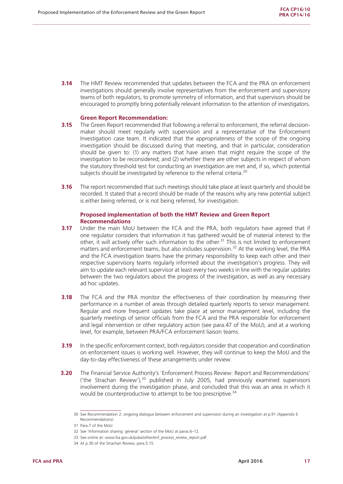**3.14** The HMT Review recommended that updates between the FCA and the PRA on enforcement investigations should generally involve representatives from the enforcement and supervisory teams of both regulators, to promote symmetry of information, and that supervisors should be encouraged to promptly bring potentially relevant information to the attention of investigators.

#### **Green Report Recommendation:**

- **3.15** The Green Report recommended that following a referral to enforcement, the referral decisionmaker should meet regularly with supervision and a representative of the Enforcement Investigation case team. It indicated that the appropriateness of the scope of the ongoing investigation should be discussed during that meeting, and that in particular, consideration should be given to: (1) any matters that have arisen that might require the scope of the investigation to be reconsidered; and (2) whether there are other subjects in respect of whom the statutory threshold test for conducting an investigation are met and, if so, which potential subjects should be investigated by reference to the referral criteria.<sup>30</sup>
- **3.16** The report recommended that such meetings should take place at least quarterly and should be recorded. It stated that a record should be made of the reasons why any new potential subject is either being referred, or is not being referred, for investigation.

#### **Proposed implementation of both the HMT Review and Green Report Recommendations**

- **3.17** Under the main MoU between the FCA and the PRA, both regulators have agreed that if one regulator considers that information it has gathered would be of material interest to the other, it will actively offer such information to the other.31 This is not limited to enforcement matters and enforcement teams, but also includes supervision.<sup>32</sup> At the working level, the PRA and the FCA investigation teams have the primary responsibility to keep each other and their respective supervisory teams regularly informed about the investigation's progress. They will aim to update each relevant supervisor at least every two weeks in line with the regular updates between the two regulators about the progress of the investigation, as well as any necessary ad hoc updates.
- **3.18** The FCA and the PRA monitor the effectiveness of their coordination by measuring their performance in a number of areas through detailed quarterly reports to senior management. Regular and more frequent updates take place at senior management level, including the quarterly meetings of senior officials from the FCA and the PRA responsible for enforcement and legal intervention or other regulatory action (see para.47 of the MoU), and at a working level, for example, between PRA/FCA enforcement liaison teams.
- **3.19** In the specific enforcement context, both regulators consider that cooperation and coordination on enforcement issues is working well. However, they will continue to keep the MoU and the day-to-day effectiveness of these arrangements under review.
- **3.20** The Financial Service Authority's 'Enforcement Process Review: Report and Recommendations' ('the Strachan Review'), $^{33}$  published in July 2005, had previously examined supervisors involvement during the investigation phase, and concluded that this was an area in which it would be counterproductive to attempt to be too prescriptive.<sup>34</sup>

<sup>30</sup> See Recommendation 2: ongoing dialogue between enforcement and supervision during an investigation at p.91 (Appendix E: Recommendations).

<sup>31</sup> Para.7 of the MoU.

<sup>32.</sup> See 'Information sharing: general' section of the MoU at paras. 6–12.

<sup>33</sup> See online at: [www.fsa.gov.uk/pubs/other/enf\\_process\\_review\\_report.pdf.](www.fsa.gov.uk/pubs/other/enf_process_review_report.pdf)

<sup>34</sup> At p.30 of the Strachan Review, para.5.15.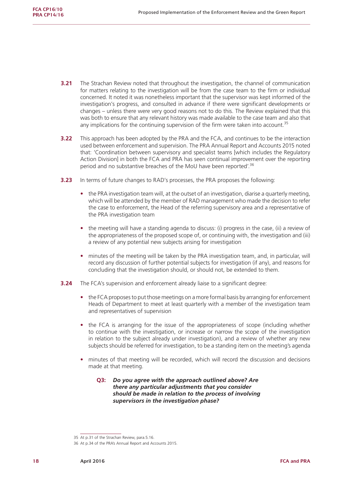- **3.21** The Strachan Review noted that throughout the investigation, the channel of communication for matters relating to the investigation will be from the case team to the firm or individual concerned. It noted it was nonetheless important that the supervisor was kept informed of the investigation's progress, and consulted in advance if there were significant developments or changes – unless there were very good reasons not to do this. The Review explained that this was both to ensure that any relevant history was made available to the case team and also that any implications for the continuing supervision of the firm were taken into account.<sup>35</sup>
- **3.22** This approach has been adopted by the PRA and the FCA, and continues to be the interaction used between enforcement and supervision. The PRA Annual Report and Accounts 2015 noted that: 'Coordination between supervisory and specialist teams [which includes the Regulatory Action Division] in both the FCA and PRA has seen continual improvement over the reporting period and no substantive breaches of the MoU have been reported'.36
- **3.23** In terms of future changes to RAD's processes, the PRA proposes the following:
	- **•** the PRA investigation team will, at the outset of an investigation, diarise a quarterly meeting, which will be attended by the member of RAD management who made the decision to refer the case to enforcement, the Head of the referring supervisory area and a representative of the PRA investigation team
	- **•** the meeting will have a standing agenda to discuss: (i) progress in the case, (ii) a review of the appropriateness of the proposed scope of, or continuing with, the investigation and (iii) a review of any potential new subjects arising for investigation
	- **•** minutes of the meeting will be taken by the PRA investigation team, and, in particular, will record any discussion of further potential subjects for investigation (if any), and reasons for concluding that the investigation should, or should not, be extended to them.
- **3.24** The FCA's supervision and enforcement already liaise to a significant degree:
	- **•** the FCA proposes to put those meetings on a more formal basis by arranging for enforcement Heads of Department to meet at least quarterly with a member of the investigation team and representatives of supervision
	- the FCA is arranging for the issue of the appropriateness of scope (including whether to continue with the investigation, or increase or narrow the scope of the investigation in relation to the subject already under investigation), and a review of whether any new subjects should be referred for investigation, to be a standing item on the meeting's agenda
	- **•** minutes of that meeting will be recorded, which will record the discussion and decisions made at that meeting.

#### **Q3:** *Do you agree with the approach outlined above? Are there any particular adjustments that you consider should be made in relation to the process of involving supervisors in the investigation phase?*

<sup>35</sup> At p.31 of the Strachan Review, para.5.16.

<sup>36</sup> At p.34 of the PRA's Annual Report and Accounts 2015.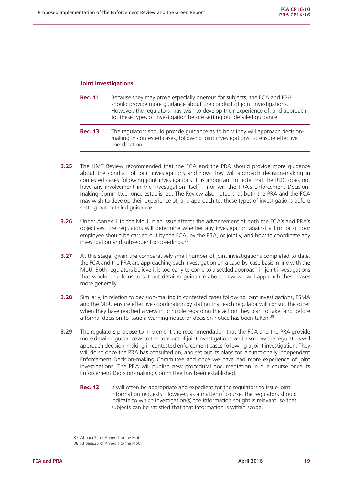#### **Joint investigations**

- **Rec. 11** Because they may prove especially onerous for subjects, the FCA and PRA should provide more guidance about the conduct of joint investigations. However, the regulators may wish to develop their experience of, and approach to, these types of investigation before setting out detailed guidance.
- **Rec. 13** The regulators should provide guidance as to how they will approach decisionmaking in contested cases, following joint investigations, to ensure effective coordination.
- **3.25** The HMT Review recommended that the FCA and the PRA should provide more guidance about the conduct of joint investigations and how they will approach decision-making in contested cases following joint investigations. It is important to note that the RDC does not have any involvement in the investigation itself – nor will the PRA's Enforcement Decisionmaking Committee, once established. The Review also noted that both the PRA and the FCA may wish to develop their experience of, and approach to, these types of investigations before setting out detailed guidance.
- **3.26** Under Annex 1 to the MoU, if an issue affects the advancement of both the FCA's and PRA's objectives, the regulators will determine whether any investigation against a firm or officer/ employee should be carried out by the FCA, by the PRA, or jointly, and how to coordinate any investigation and subsequent proceedings.<sup>37</sup>
- **3.27** At this stage, given the comparatively small number of joint investigations completed to date, the FCA and the PRA are approaching each investigation on a case-by-case basis in line with the MoU. Both regulators believe it is too early to come to a settled approach in joint investigations that would enable us to set out detailed guidance about how we will approach these cases more generally.
- **3.28** Similarly, in relation to decision-making in contested cases following joint investigations, FSMA and the MoU ensure effective coordination by stating that each regulator will consult the other when they have reached a view in principle regarding the action they plan to take, and before a formal decision to issue a warning notice or decision notice has been taken.<sup>38</sup>
- **3.29** The regulators propose to implement the recommendation that the FCA and the PRA provide more detailed guidance as to the conduct of joint investigations, and also how the regulators will approach decision-making in contested enforcement cases following a joint investigation. They will do so once the PRA has consulted on, and set out its plans for, a functionally independent Enforcement Decision-making Committee and once we have had more experience of joint investigations. The PRA will publish new procedural documentation in due course once its Enforcement Decision-making Committee has been established.
	- **Rec. 12** It will often be appropriate and expedient for the regulators to issue joint information requests. However, as a matter of course, the regulators should indicate to which investigation(s) the information sought is relevant, so that subjects can be satisfied that that information is within scope.

<sup>37</sup> At para.24 of Annex 1 to the MoU.

<sup>38</sup> At para.25 of Annex 1 to the MoU.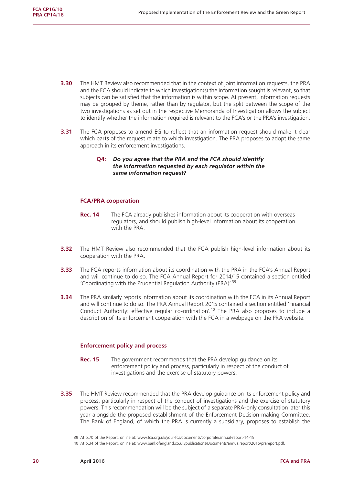- **3.30** The HMT Review also recommended that in the context of joint information requests, the PRA and the FCA should indicate to which investigation(s) the information sought is relevant, so that subjects can be satisfied that the information is within scope. At present, information requests may be grouped by theme, rather than by regulator, but the split between the scope of the two investigations as set out in the respective Memoranda of Investigation allows the subject to identify whether the information required is relevant to the FCA's or the PRA's investigation.
- **3.31** The FCA proposes to amend EG to reflect that an information request should make it clear which parts of the request relate to which investigation. The PRA proposes to adopt the same approach in its enforcement investigations.

#### **Q4:** *Do you agree that the PRA and the FCA should identify the information requested by each regulator within the same information request?*

#### **FCA/PRA cooperation**

- **Rec. 14** The FCA already publishes information about its cooperation with overseas regulators, and should publish high-level information about its cooperation with the PRA.
- **3.32** The HMT Review also recommended that the FCA publish high-level information about its cooperation with the PRA.
- **3.33** The FCA reports information about its coordination with the PRA in the FCA's Annual Report and will continue to do so. The FCA Annual Report for 2014/15 contained a section entitled 'Coordinating with the Prudential Regulation Authority (PRA)'.39
- **3.34** The PRA similarly reports information about its coordination with the FCA in its Annual Report and will continue to do so. The PRA Annual Report 2015 contained a section entitled 'Financial Conduct Authority: effective regular co-ordination'.<sup>40</sup> The PRA also proposes to include a description of its enforcement cooperation with the FCA in a webpage on the PRA website.

#### **Enforcement policy and process**

- **Rec. 15** The government recommends that the PRA develop guidance on its enforcement policy and process, particularly in respect of the conduct of investigations and the exercise of statutory powers.
- **3.35** The HMT Review recommended that the PRA develop guidance on its enforcement policy and process, particularly in respect of the conduct of investigations and the exercise of statutory powers. This recommendation will be the subject of a separate PRA-only consultation later this year alongside the proposed establishment of the Enforcement Decision-making Committee. The Bank of England, of which the PRA is currently a subsidiary, proposes to establish the

<sup>39</sup> At p.70 of the Report, online at: [www.fca.org.uk/your-fca/documents/corporate/annual-report-14-15.](www.fca.org.uk/your-fca/documents/corporate/annual-report-14-15)

<sup>40</sup> At p.34 of the Report, online at: [www.bankofengland.co.uk/publications/Documents/annualreport/2015/prareport.pdf.](www.bankofengland.co.uk/publications/Documents/annualreport/2015/prareport.pdf)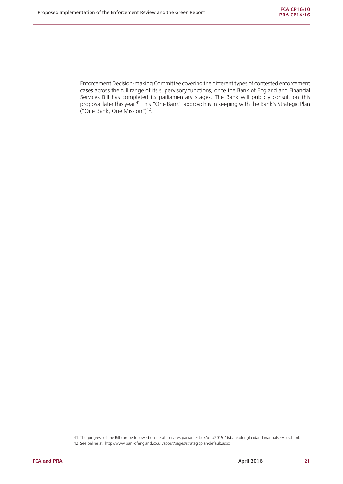Enforcement Decision-making Committee covering the different types of contested enforcement cases across the full range of its supervisory functions, once the Bank of England and Financial Services Bill has completed its parliamentary stages. The Bank will publicly consult on this proposal later this year.41 This "One Bank" approach is in keeping with the Bank's Strategic Plan ("One Bank, One Mission")42.

<sup>41</sup> The progress of the Bill can be followed online at: services.parliament.uk/bills/2015-16/bankofenglandandfinancialservices.html.

<sup>42</sup> See online at:<http://www.bankofengland.co.uk/about/pages/strategicplan/default.aspx>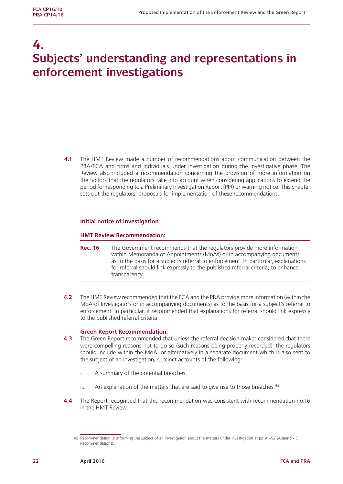## **4. Subjects' understanding and representations in enforcement investigations**

**4.1** The HMT Review made a number of recommendations about communication between the PRA/FCA and firms and individuals under investigation during the investigative phase. The Review also included a recommendation concerning the provision of more information on the factors that the regulators take into account when considering applications to extend the period for responding to a Preliminary Investigation Report (PIR) or warning notice. This chapter sets out the regulators' proposals for implementation of these recommendations.

#### **Initial notice of investigation**

#### **HMT Review Recommendation:**

- **Rec. 16** The Government recommends that the regulators provide more information within Memoranda of Appointments (MoAs) or in accompanying documents, as to the basis for a subject's referral to enforcement. In particular, explanations for referral should link expressly to the published referral criteria, to enhance transparency.
- **4.2** The HMT Review recommended that the FCA and the PRA provide more information (within the MoA of Investigators or in accompanying documents) as to the basis for a subject's referral to enforcement. In particular, it recommended that explanations for referral should link expressly to the published referral criteria.

#### **Green Report Recommendation:**

- **4.3** The Green Report recommended that unless the referral decision maker considered that there were compelling reasons not to do so (such reasons being properly recorded), the regulators should include within the MoA, or alternatively in a separate document which is also sent to the subject of an investigation, succinct accounts of the following:
	- i. A summary of the potential breaches.
	- ii. An explanation of the matters that are said to give rise to those breaches. $43$
- **4.4** The Report recognised that this recommendation was consistent with recommendation no.16 in the HMT Review.

<sup>43</sup> Recommendation 3: Informing the subject of an investigation about the matters under investigation at pp.91–92 (Appendix E: Recommendations).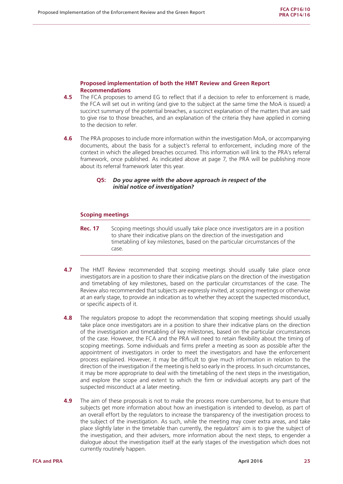#### **Proposed implementation of both the HMT Review and Green Report Recommendations**

- **4.5** The FCA proposes to amend EG to reflect that if a decision to refer to enforcement is made. the FCA will set out in writing (and give to the subject at the same time the MoA is issued) a succinct summary of the potential breaches, a succinct explanation of the matters that are said to give rise to those breaches, and an explanation of the criteria they have applied in coming to the decision to refer.
- **4.6** The PRA proposes to include more information within the investigation MoA, or accompanying documents, about the basis for a subject's referral to enforcement, including more of the context in which the alleged breaches occurred. This information will link to the PRA's referral framework, once published. As indicated above at page 7, the PRA will be publishing more about its referral framework later this year.

#### **Q5:** *Do you agree with the above approach in respect of the initial notice of investigation?*

#### **Scoping meetings**

- **Rec. 17** Scoping meetings should usually take place once investigators are in a position to share their indicative plans on the direction of the investigation and timetabling of key milestones, based on the particular circumstances of the case.
- **4.7** The HMT Review recommended that scoping meetings should usually take place once investigators are in a position to share their indicative plans on the direction of the investigation and timetabling of key milestones, based on the particular circumstances of the case. The Review also recommended that subjects are expressly invited, at scoping meetings or otherwise at an early stage, to provide an indication as to whether they accept the suspected misconduct, or specific aspects of it.
- **4.8** The regulators propose to adopt the recommendation that scoping meetings should usually take place once investigators are in a position to share their indicative plans on the direction of the investigation and timetabling of key milestones, based on the particular circumstances of the case. However, the FCA and the PRA will need to retain flexibility about the timing of scoping meetings. Some individuals and firms prefer a meeting as soon as possible after the appointment of investigators in order to meet the investigators and have the enforcement process explained. However, it may be difficult to give much information in relation to the direction of the investigation if the meeting is held so early in the process. In such circumstances, it may be more appropriate to deal with the timetabling of the next steps in the investigation, and explore the scope and extent to which the firm or individual accepts any part of the suspected misconduct at a later meeting.
- **4.9** The aim of these proposals is not to make the process more cumbersome, but to ensure that subjects get more information about how an investigation is intended to develop, as part of an overall effort by the regulators to increase the transparency of the investigation process to the subject of the investigation. As such, while the meeting may cover extra areas, and take place slightly later in the timetable than currently, the regulators' aim is to give the subject of the investigation, and their advisers, more information about the next steps, to engender a dialogue about the investigation itself at the early stages of the investigation which does not currently routinely happen.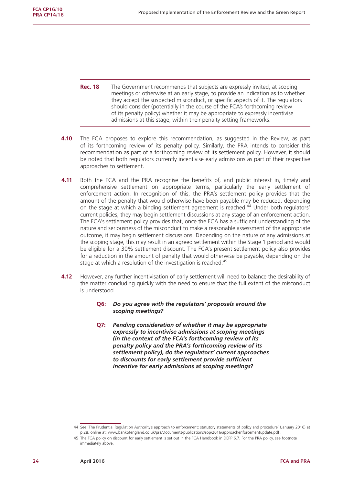**Rec. 18** The Government recommends that subjects are expressly invited, at scoping meetings or otherwise at an early stage, to provide an indication as to whether they accept the suspected misconduct, or specific aspects of it. The regulators should consider (potentially in the course of the FCA's forthcoming review of its penalty policy) whether it may be appropriate to expressly incentivise admissions at this stage, within their penalty setting frameworks.

- **4.10** The FCA proposes to explore this recommendation, as suggested in the Review, as part of its forthcoming review of its penalty policy. Similarly, the PRA intends to consider this recommendation as part of a forthcoming review of its settlement policy. However, it should be noted that both regulators currently incentivise early admissions as part of their respective approaches to settlement.
- **4.11** Both the FCA and the PRA recognise the benefits of, and public interest in, timely and comprehensive settlement on appropriate terms, particularly the early settlement of enforcement action. In recognition of this, the PRA's settlement policy provides that the amount of the penalty that would otherwise have been payable may be reduced, depending on the stage at which a binding settlement agreement is reached.<sup>44</sup> Under both regulators' current policies, they may begin settlement discussions at any stage of an enforcement action. The FCA's settlement policy provides that, once the FCA has a sufficient understanding of the nature and seriousness of the misconduct to make a reasonable assessment of the appropriate outcome, it may begin settlement discussions. Depending on the nature of any admissions at the scoping stage, this may result in an agreed settlement within the Stage 1 period and would be eligible for a 30% settlement discount. The FCA's present settlement policy also provides for a reduction in the amount of penalty that would otherwise be payable, depending on the stage at which a resolution of the investigation is reached.<sup>45</sup>
- **4.12** However, any further incentivisation of early settlement will need to balance the desirability of the matter concluding quickly with the need to ensure that the full extent of the misconduct is understood.
	- **Q6:** *Do you agree with the regulators' proposals around the scoping meetings?*
	- **Q7:** *Pending consideration of whether it may be appropriate expressly to incentivise admissions at scoping meetings (in the context of the FCA's forthcoming review of its penalty policy and the PRA's forthcoming review of its settlement policy), do the regulators' current approaches to discounts for early settlement provide sufficient incentive for early admissions at scoping meetings?*

<sup>44</sup> See 'The Prudential Regulation Authority's approach to enforcement: statutory statements of policy and procedure' (January 2016) at p.28, online at: [www.bankofengland.co.uk/pra/Documents/publications/sop/2016/approachenforcementupdate.pdf .](www.bankofengland.co.uk/pra/Documents/publications/sop/2016/approachenforcementupdate.pdf)

<sup>45</sup> The FCA policy on discount for early settlement is set out in the FCA Handbook in DEPP 6.7. For the PRA policy, see footnote immediately above.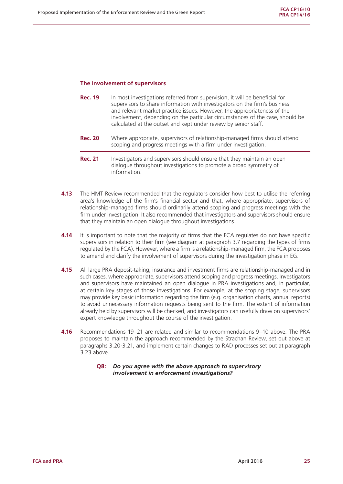#### **The involvement of supervisors**

| <b>Rec. 19</b> | In most investigations referred from supervision, it will be beneficial for<br>supervisors to share information with investigators on the firm's business<br>and relevant market practice issues. However, the appropriateness of the<br>involvement, depending on the particular circumstances of the case, should be<br>calculated at the outset and kept under review by senior staff. |
|----------------|-------------------------------------------------------------------------------------------------------------------------------------------------------------------------------------------------------------------------------------------------------------------------------------------------------------------------------------------------------------------------------------------|
| <b>Rec. 20</b> | Where appropriate, supervisors of relationship-managed firms should attend<br>scoping and progress meetings with a firm under investigation.                                                                                                                                                                                                                                              |
| <b>Rec. 21</b> | Investigators and supervisors should ensure that they maintain an open<br>dialogue throughout investigations to promote a broad symmetry of<br>information.                                                                                                                                                                                                                               |

- **4.13** The HMT Review recommended that the regulators consider how best to utilise the referring area's knowledge of the firm's financial sector and that, where appropriate, supervisors of relationship-managed firms should ordinarily attend scoping and progress meetings with the firm under investigation. It also recommended that investigators and supervisors should ensure that they maintain an open dialogue throughout investigations.
- **4.14** It is important to note that the majority of firms that the FCA regulates do not have specific supervisors in relation to their firm (see diagram at paragraph 3.7 regarding the types of firms regulated by the FCA). However, where a firm is a relationship-managed firm, the FCA proposes to amend and clarify the involvement of supervisors during the investigation phase in EG.
- **4.15** All large PRA deposit-taking, insurance and investment firms are relationship-managed and in such cases, where appropriate, supervisors attend scoping and progress meetings. Investigators and supervisors have maintained an open dialogue in PRA investigations and, in particular, at certain key stages of those investigations. For example, at the scoping stage, supervisors may provide key basic information regarding the firm (e.g. organisation charts, annual reports) to avoid unnecessary information requests being sent to the firm. The extent of information already held by supervisors will be checked, and investigators can usefully draw on supervisors' expert knowledge throughout the course of the investigation.
- **4.16** Recommendations 19–21 are related and similar to recommendations 9–10 above. The PRA proposes to maintain the approach recommended by the Strachan Review, set out above at paragraphs 3.20-3.21, and implement certain changes to RAD processes set out at paragraph 3.23 above.
	- **Q8:** *Do you agree with the above approach to supervisory involvement in enforcement investigations?*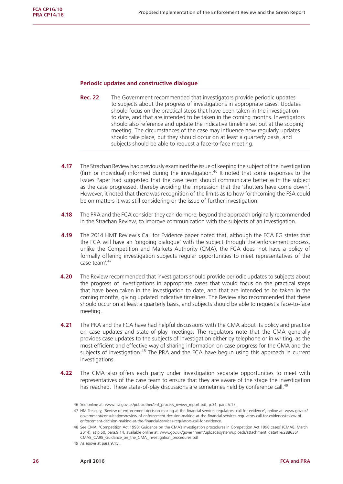#### **Periodic updates and constructive dialogue**

- **Rec. 22** The Government recommended that investigators provide periodic updates to subjects about the progress of investigations in appropriate cases. Updates should focus on the practical steps that have been taken in the investigation to date, and that are intended to be taken in the coming months. Investigators should also reference and update the indicative timeline set out at the scoping meeting. The circumstances of the case may influence how regularly updates should take place, but they should occur on at least a quarterly basis, and subjects should be able to request a face-to-face meeting.
- **4.17** The Strachan Review had previously examined the issue of keeping the subject of the investigation (firm or individual) informed during the investigation.<sup>46</sup> It noted that some responses to the Issues Paper had suggested that the case team should communicate better with the subject as the case progressed, thereby avoiding the impression that the 'shutters have come down'. However, it noted that there was recognition of the limits as to how forthcoming the FSA could be on matters it was still considering or the issue of further investigation.
- **4.18** The PRA and the FCA consider they can do more, beyond the approach originally recommended in the Strachan Review, to improve communication with the subjects of an investigation.
- **4.19** The 2014 HMT Review's Call for Evidence paper noted that, although the FCA EG states that the FCA will have an 'ongoing dialogue' with the subject through the enforcement process, unlike the Competition and Markets Authority (CMA), the FCA does 'not have a policy of formally offering investigation subjects regular opportunities to meet representatives of the case team'.<sup>47</sup>
- **4.20** The Review recommended that investigators should provide periodic updates to subjects about the progress of investigations in appropriate cases that would focus on the practical steps that have been taken in the investigation to date, and that are intended to be taken in the coming months, giving updated indicative timelines. The Review also recommended that these should occur on at least a quarterly basis, and subjects should be able to request a face-to-face meeting.
- **4.21** The PRA and the FCA have had helpful discussions with the CMA about its policy and practice on case updates and state-of-play meetings. The regulators note that the CMA generally provides case updates to the subjects of investigation either by telephone or in writing, as the most efficient and effective way of sharing information on case progress for the CMA and the subjects of investigation.<sup>48</sup> The PRA and the FCA have begun using this approach in current investigations.
- **4.22** The CMA also offers each party under investigation separate opportunities to meet with representatives of the case team to ensure that they are aware of the stage the investigation has reached. These state-of-play discussions are sometimes held by conference call.<sup>49</sup>

<sup>46</sup> See online at: [www.fsa.gov.uk/pubs/other/enf\\_process\\_review\\_report.pdf, p.31, para.5.17.](www.fsa.gov.uk/pubs/other/enf_process_review_report.pdf)

<sup>47</sup> HM Treasury, 'Review of enforcement decision-making at the financial services regulators: call for evidence', online at: www.gov.uk/ government/consultations/review-of-enforcement-decision-making-at-the-financial-services-regulators-call-for-evidence/review-ofenforcement-decision-making-at-the-financial-services-regulators-call-for-evidence.

<sup>48</sup> See CMA, 'Competition Act 1998: Guidance on the CMA's investigation procedures in Competition Act 1998 cases' (CMA8, March 2014), at p.50, para.9.14, available online at: [www.gov.uk/government/uploads/system/uploads/attachment\\_data/file/288636/](www.gov.uk/government/uploads/system/uploads/attachment_data/file/288636/CMA8_CA98_Guidance_on_the_CMA_investigation_procedures.pdf) [CMA8\\_CA98\\_Guidance\\_on\\_the\\_CMA\\_investigation\\_procedures.pdf.](www.gov.uk/government/uploads/system/uploads/attachment_data/file/288636/CMA8_CA98_Guidance_on_the_CMA_investigation_procedures.pdf) 

<sup>49</sup> As above at para.9.15.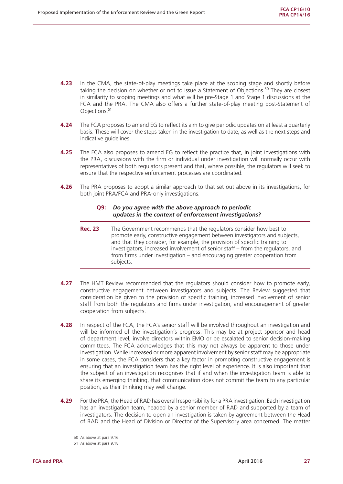- **4.23** In the CMA, the state-of-play meetings take place at the scoping stage and shortly before taking the decision on whether or not to issue a Statement of Objections.<sup>50</sup> They are closest in similarity to scoping meetings and what will be pre-Stage 1 and Stage 1 discussions at the FCA and the PRA. The CMA also offers a further state-of-play meeting post-Statement of Objections.<sup>51</sup>
- **4.24** The FCA proposes to amend EG to reflect its aim to give periodic updates on at least a quarterly basis. These will cover the steps taken in the investigation to date, as well as the next steps and indicative guidelines.
- **4.25** The FCA also proposes to amend EG to reflect the practice that, in joint investigations with the PRA, discussions with the firm or individual under investigation will normally occur with representatives of both regulators present and that, where possible, the regulators will seek to ensure that the respective enforcement processes are coordinated.
- **4.26** The PRA proposes to adopt a similar approach to that set out above in its investigations, for both joint PRA/FCA and PRA-only investigations.

#### **Q9:** *Do you agree with the above approach to periodic updates in the context of enforcement investigations?*

- **Rec. 23** The Government recommends that the regulators consider how best to promote early, constructive engagement between investigators and subjects, and that they consider, for example, the provision of specific training to investigators, increased involvement of senior staff – from the regulators, and from firms under investigation – and encouraging greater cooperation from subjects.
- **4.27** The HMT Review recommended that the regulators should consider how to promote early, constructive engagement between investigators and subjects. The Review suggested that consideration be given to the provision of specific training, increased involvement of senior staff from both the regulators and firms under investigation, and encouragement of greater cooperation from subjects.
- **4.28** In respect of the FCA, the FCA's senior staff will be involved throughout an investigation and will be informed of the investigation's progress. This may be at project sponsor and head of department level, involve directors within EMO or be escalated to senior decision-making committees. The FCA acknowledges that this may not always be apparent to those under investigation. While increased or more apparent involvement by senior staff may be appropriate in some cases, the FCA considers that a key factor in promoting constructive engagement is ensuring that an investigation team has the right level of experience. It is also important that the subject of an investigation recognises that if and when the investigation team is able to share its emerging thinking, that communication does not commit the team to any particular position, as their thinking may well change.
- **4.29** For the PRA, the Head of RAD has overall responsibility for a PRA investigation. Each investigation has an investigation team, headed by a senior member of RAD and supported by a team of investigators. The decision to open an investigation is taken by agreement between the Head of RAD and the Head of Division or Director of the Supervisory area concerned. The matter

<sup>50</sup> As above at para.9.16.

<sup>51</sup> As above at para 9.18.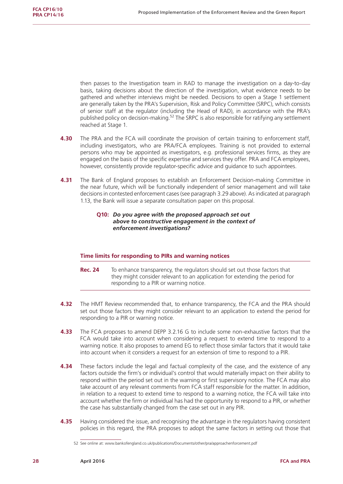then passes to the Investigation team in RAD to manage the investigation on a day-to-day basis, taking decisions about the direction of the investigation, what evidence needs to be gathered and whether interviews might be needed. Decisions to open a Stage 1 settlement are generally taken by the PRA's Supervision, Risk and Policy Committee (SRPC), which consists of senior staff at the regulator (including the Head of RAD), in accordance with the PRA's published policy on decision-making.<sup>52</sup> The SRPC is also responsible for ratifying any settlement reached at Stage 1.

- **4.30** The PRA and the FCA will coordinate the provision of certain training to enforcement staff. including investigators, who are PRA/FCA employees. Training is not provided to external persons who may be appointed as investigators, e.g. professional services firms, as they are engaged on the basis of the specific expertise and services they offer. PRA and FCA employees, however, consistently provide regulator-specific advice and guidance to such appointees.
- **4.31** The Bank of England proposes to establish an Enforcement Decision-making Committee in the near future, which will be functionally independent of senior management and will take decisions in contested enforcement cases (see paragraph 3.29 above). As indicated at paragraph 1.13, the Bank will issue a separate consultation paper on this proposal.

#### **Q10:** *Do you agree with the proposed approach set out above to constructive engagement in the context of enforcement investigations?*

## **Time limits for responding to PIRs and warning notices**

- **Rec. 24** To enhance transparency, the regulators should set out those factors that they might consider relevant to an application for extending the period for responding to a PIR or warning notice.
- **4.32** The HMT Review recommended that, to enhance transparency, the FCA and the PRA should set out those factors they might consider relevant to an application to extend the period for responding to a PIR or warning notice.
- **4.33** The FCA proposes to amend DEPP 3.2.16 G to include some non-exhaustive factors that the FCA would take into account when considering a request to extend time to respond to a warning notice. It also proposes to amend EG to reflect those similar factors that it would take into account when it considers a request for an extension of time to respond to a PIR.
- **4.34** These factors include the legal and factual complexity of the case, and the existence of any factors outside the firm's or individual's control that would materially impact on their ability to respond within the period set out in the warning or first supervisory notice. The FCA may also take account of any relevant comments from FCA staff responsible for the matter. In addition, in relation to a request to extend time to respond to a warning notice, the FCA will take into account whether the firm or individual has had the opportunity to respond to a PIR, or whether the case has substantially changed from the case set out in any PIR.
- **4.35** Having considered the issue, and recognising the advantage in the regulators having consistent policies in this regard, the PRA proposes to adopt the same factors in setting out those that

<sup>52</sup> See online at:<www.bankofengland.co.uk/publications/Documents/other/pra/approachenforcement.pdf>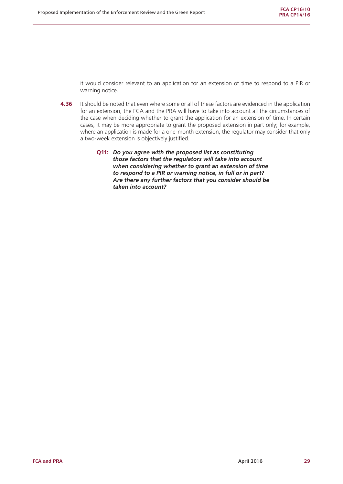it would consider relevant to an application for an extension of time to respond to a PIR or warning notice.

- **4.36** It should be noted that even where some or all of these factors are evidenced in the application for an extension, the FCA and the PRA will have to take into account all the circumstances of the case when deciding whether to grant the application for an extension of time. In certain cases, it may be more appropriate to grant the proposed extension in part only; for example, where an application is made for a one-month extension, the regulator may consider that only a two-week extension is objectively justified.
	- **Q11:** *Do you agree with the proposed list as constituting those factors that the regulators will take into account when considering whether to grant an extension of time to respond to a PIR or warning notice, in full or in part? Are there any further factors that you consider should be taken into account?*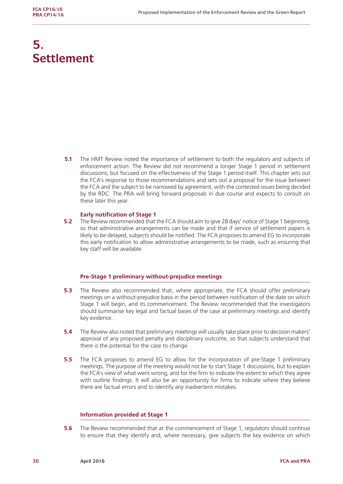## **5. Settlement**

**5.1** The HMT Review noted the importance of settlement to both the regulators and subjects of enforcement action. The Review did not recommend a longer Stage 1 period in settlement discussions, but focused on the effectiveness of the Stage 1 period itself. This chapter sets out the FCA's response to those recommendations and sets out a proposal for the issue between the FCA and the subject to be narrowed by agreement, with the contested issues being decided by the RDC. The PRA will bring forward proposals in due course and expects to consult on these later this year.

#### **Early notification of Stage 1**

**5.2** The Review recommended that the FCA should aim to give 28 days' notice of Stage 1 beginning, so that administrative arrangements can be made and that if service of settlement papers is likely to be delayed, subjects should be notified. The FCA proposes to amend EG to incorporate this early notification to allow administrative arrangements to be made, such as ensuring that key staff will be available.

#### **Pre-Stage 1 preliminary without-prejudice meetings**

- **5.3** The Review also recommended that, where appropriate, the FCA should offer preliminary meetings on a without-prejudice basis in the period between notification of the date on which Stage 1 will begin, and its commencement. The Review recommended that the investigators should summarise key legal and factual bases of the case at preliminary meetings and identify key evidence.
- **5.4** The Review also noted that preliminary meetings will usually take place prior to decision makers' approval of any proposed penalty and disciplinary outcome, so that subjects understand that there is the potential for the case to change.
- **5.5** The FCA proposes to amend EG to allow for the incorporation of pre-Stage 1 preliminary meetings. The purpose of the meeting would not be to start Stage 1 discussions, but to explain the FCA's view of what went wrong, and for the firm to indicate the extent to which they agree with outline findings. It will also be an opportunity for firms to indicate where they believe there are factual errors and to identify any inadvertent mistakes.

#### **Information provided at Stage 1**

**5.6** The Review recommended that at the commencement of Stage 1, regulators should continue to ensure that they identify and, where necessary, give subjects the key evidence on which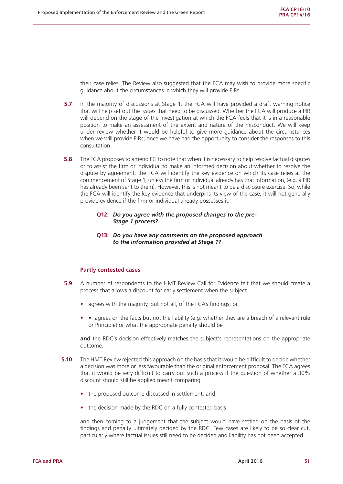their case relies. The Review also suggested that the FCA may wish to provide more specific guidance about the circumstances in which they will provide PIRs.

- **5.7** In the majority of discussions at Stage 1, the FCA will have provided a draft warning notice that will help set out the issues that need to be discussed. Whether the FCA will produce a PIR will depend on the stage of the investigation at which the FCA feels that it is in a reasonable position to make an assessment of the extent and nature of the misconduct. We will keep under review whether it would be helpful to give more guidance about the circumstances when we will provide PIRs, once we have had the opportunity to consider the responses to this consultation.
- **5.8** The FCA proposes to amend EG to note that when it is necessary to help resolve factual disputes or to assist the firm or individual to make an informed decision about whether to resolve the dispute by agreement, the FCA will identify the key evidence on which its case relies at the commencement of Stage 1, unless the firm or individual already has that information, (e.g. a PIR has already been sent to them). However, this is not meant to be a disclosure exercise. So, while the FCA will identify the key evidence that underpins its view of the case, it will not generally provide evidence if the firm or individual already possesses it.

#### **Q12:** *Do you agree with the proposed changes to the pre-Stage 1 process?*

**Q13:** *Do you have any comments on the proposed approach to the information provided at Stage 1?* 

#### **Partly contested cases**

- **5.9** A number of respondents to the HMT Review Call for Evidence felt that we should create a process that allows a discount for early settlement when the subject
	- **•** agrees with the majority, but not all, of the FCA's findings; or
	- agrees on the facts but not the liability (e.g. whether they are a breach of a relevant rule or Principle) or what the appropriate penalty should be

**and** the RDC's decision effectively matches the subject's representations on the appropriate outcome.

- **5.10** The HMT Review rejected this approach on the basis that it would be difficult to decide whether a decision was more or less favourable than the original enforcement proposal. The FCA agrees that it would be very difficult to carry out such a process if the question of whether a 30% discount should still be applied meant comparing:
	- **•** the proposed outcome discussed in settlement, and
	- **•** the decision made by the RDC on a fully contested basis

and then coming to a judgement that the subject would have settled on the basis of the findings and penalty ultimately decided by the RDC. Few cases are likely to be so clear cut, particularly where factual issues still need to be decided and liability has not been accepted.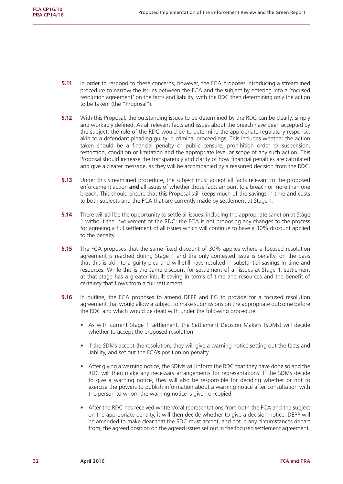- **5.11** In order to respond to these concerns, however, the FCA proposes introducing a streamlined procedure to narrow the issues between the FCA and the subject by entering into a 'focused resolution agreement' on the facts and liability, with the RDC then determining only the action to be taken (the "Proposal").
- **5.12** With this Proposal, the outstanding issues to be determined by the RDC can be clearly, simply and workably defined. As all relevant facts and issues about the breach have been accepted by the subject, the role of the RDC would be to determine the appropriate regulatory response, akin to a defendant pleading guilty in criminal proceedings. This includes whether the action taken should be a financial penalty or public censure, prohibition order or suspension, restriction, condition or limitation and the appropriate level or scope of any such action. This Proposal should increase the transparency and clarity of how financial penalties are calculated and give a clearer message, as they will be accompanied by a reasoned decision from the RDC.
- **5.13** Under this streamlined procedure, the subject must accept all facts relevant to the proposed enforcement action **and** all issues of whether those facts amount to a breach or more than one breach. This should ensure that this Proposal still keeps much of the savings in time and costs to both subjects and the FCA that are currently made by settlement at Stage 1.
- **5.14** There will still be the opportunity to settle all issues, including the appropriate sanction at Stage 1 without the involvement of the RDC; the FCA is not proposing any changes to the process for agreeing a full settlement of all issues which will continue to have a 30% discount applied to the penalty.
- **5.15** The FCA proposes that the same fixed discount of 30% applies where a focused resolution agreement is reached during Stage 1 and the only contested issue is penalty, on the basis that this is akin to a guilty plea and will still have resulted in substantial savings in time and resources. While this is the same discount for settlement of all issues at Stage 1, settlement at that stage has a greater inbuilt saving in terms of time and resources and the benefit of certainty that flows from a full settlement.
- **5.16** In outline, the FCA proposes to amend DEPP and EG to provide for a focused resolution agreement that would allow a subject to make submissions on the appropriate outcome before the RDC and which would be dealt with under the following procedure:
	- **•** As with current Stage 1 settlement, the Settlement Decision Makers (SDMs) will decide whether to accept the proposed resolution.
	- **•** If the SDMs accept the resolution, they will give a warning notice setting out the facts and liability, and set out the FCA's position on penalty.
	- **•** After giving a warning notice, the SDMs will inform the RDC that they have done so and the RDC will then make any necessary arrangements for representations. If the SDMs decide to give a warning notice, they will also be responsible for deciding whether or not to exercise the powers to publish information about a warning notice after consultation with the person to whom the warning notice is given or copied.
	- After the RDC has received written/oral representations from both the FCA and the subject on the appropriate penalty, it will then decide whether to give a decision notice. DEPP will be amended to make clear that the RDC must accept, and not in any circumstances depart from, the agreed position on the agreed issues set out in the focused settlement agreement.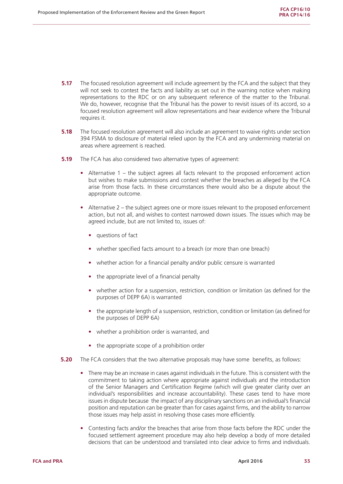- **5.17** The focused resolution agreement will include agreement by the FCA and the subject that they will not seek to contest the facts and liability as set out in the warning notice when making representations to the RDC or on any subsequent reference of the matter to the Tribunal. We do, however, recognise that the Tribunal has the power to revisit issues of its accord, so a focused resolution agreement will allow representations and hear evidence where the Tribunal requires it.
- **5.18** The focused resolution agreement will also include an agreement to waive rights under section 394 FSMA to disclosure of material relied upon by the FCA and any undermining material on areas where agreement is reached.
- **5.19** The FCA has also considered two alternative types of agreement:
	- Alternative 1 the subject agrees all facts relevant to the proposed enforcement action but wishes to make submissions and contest whether the breaches as alleged by the FCA arise from those facts. In these circumstances there would also be a dispute about the appropriate outcome.
	- **•** Alternative 2 the subject agrees one or more issues relevant to the proposed enforcement action, but not all, and wishes to contest narrowed down issues. The issues which may be agreed include, but are not limited to, issues of:
		- **•** questions of fact
		- **•** whether specified facts amount to a breach (or more than one breach)
		- **•** whether action for a financial penalty and/or public censure is warranted
		- the appropriate level of a financial penalty
		- **•** whether action for a suspension, restriction, condition or limitation (as defined for the purposes of DEPP 6A) is warranted
		- **•** the appropriate length of a suspension, restriction, condition or limitation (as defined for the purposes of DEPP 6A)
		- **•** whether a prohibition order is warranted, and
		- **•** the appropriate scope of a prohibition order
- **5.20** The FCA considers that the two alternative proposals may have some benefits, as follows:
	- **•** There may be an increase in cases against individuals in the future. This is consistent with the commitment to taking action where appropriate against individuals and the introduction of the Senior Managers and Certification Regime (which will give greater clarity over an individual's responsibilities and increase accountability). These cases tend to have more issues in dispute because the impact of any disciplinary sanctions on an individual's financial position and reputation can be greater than for cases against firms, and the ability to narrow those issues may help assist in resolving those cases more efficiently.
	- **•** Contesting facts and/or the breaches that arise from those facts before the RDC under the focused settlement agreement procedure may also help develop a body of more detailed decisions that can be understood and translated into clear advice to firms and individuals.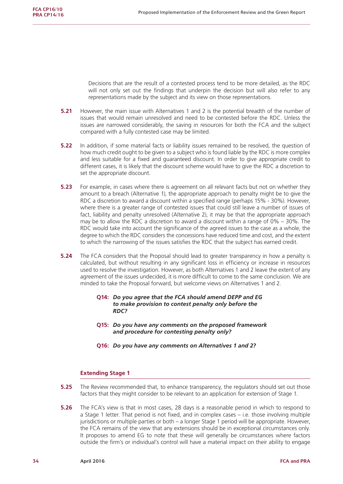Decisions that are the result of a contested process tend to be more detailed, as the RDC will not only set out the findings that underpin the decision but will also refer to any representations made by the subject and its view on those representations.

- **5.21** However, the main issue with Alternatives 1 and 2 is the potential breadth of the number of issues that would remain unresolved and need to be contested before the RDC. Unless the issues are narrowed considerably, the saving in resources for both the FCA and the subject compared with a fully contested case may be limited.
- **5.22** In addition, if some material facts or liability issues remained to be resolved, the question of how much credit ought to be given to a subject who is found liable by the RDC is more complex and less suitable for a fixed and guaranteed discount. In order to give appropriate credit to different cases, it is likely that the discount scheme would have to give the RDC a discretion to set the appropriate discount.
- **5.23** For example, in cases where there is agreement on all relevant facts but not on whether they amount to a breach (Alternative 1), the appropriate approach to penalty might be to give the RDC a discretion to award a discount within a specified range (perhaps 15% - 30%). However, where there is a greater range of contested issues that could still leave a number of issues of fact, liability and penalty unresolved (Alternative 2), it may be that the appropriate approach may be to allow the RDC a discretion to award a discount within a range of 0% – 30%. The RDC would take into account the significance of the agreed issues to the case as a whole, the degree to which the RDC considers the concessions have reduced time and cost, and the extent to which the narrowing of the issues satisfies the RDC that the subject has earned credit.
- **5.24** The FCA considers that the Proposal should lead to greater transparency in how a penalty is calculated, but without resulting in any significant loss in efficiency or increase in resources used to resolve the investigation. However, as both Alternatives 1 and 2 leave the extent of any agreement of the issues undecided, it is more difficult to come to the same conclusion. We are minded to take the Proposal forward, but welcome views on Alternatives 1 and 2.

#### **Q14:** *Do you agree that the FCA should amend DEPP and EG to make provision to contest penalty only before the RDC?*

- **Q15:** *Do you have any comments on the proposed framework and procedure for contesting penalty only?*
- **Q16:** *Do you have any comments on Alternatives 1 and 2?*

#### **Extending Stage 1**

- **5.25** The Review recommended that, to enhance transparency, the regulators should set out those factors that they might consider to be relevant to an application for extension of Stage 1.
- **5.26** The FCA's view is that in most cases, 28 days is a reasonable period in which to respond to a Stage 1 letter. That period is not fixed, and in complex cases – i.e. those involving multiple jurisdictions or multiple parties or both – a longer Stage 1 period will be appropriate. However, the FCA remains of the view that any extensions should be in exceptional circumstances only. It proposes to amend EG to note that these will generally be circumstances where factors outside the firm's or individual's control will have a material impact on their ability to engage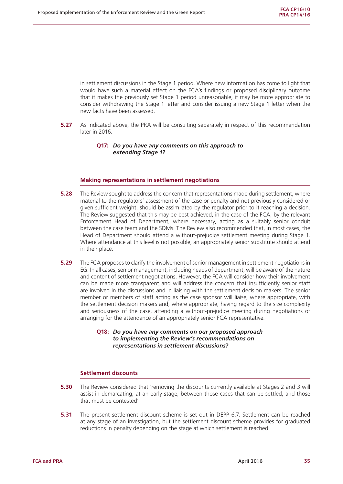in settlement discussions in the Stage 1 period. Where new information has come to light that would have such a material effect on the FCA's findings or proposed disciplinary outcome that it makes the previously set Stage 1 period unreasonable, it may be more appropriate to consider withdrawing the Stage 1 letter and consider issuing a new Stage 1 letter when the new facts have been assessed.

**5.27** As indicated above, the PRA will be consulting separately in respect of this recommendation later in 2016.

#### **Q17:** *Do you have any comments on this approach to extending Stage 1?*

#### **Making representations in settlement negotiations**

- **5.28** The Review sought to address the concern that representations made during settlement, where material to the regulators' assessment of the case or penalty and not previously considered or given sufficient weight, should be assimilated by the regulator prior to it reaching a decision. The Review suggested that this may be best achieved, in the case of the FCA, by the relevant Enforcement Head of Department, where necessary, acting as a suitably senior conduit between the case team and the SDMs. The Review also recommended that, in most cases, the Head of Department should attend a without-prejudice settlement meeting during Stage 1. Where attendance at this level is not possible, an appropriately senior substitute should attend in their place.
- **5.29** The FCA proposes to clarify the involvement of senior management in settlement negotiations in EG. In all cases, senior management, including heads of department, will be aware of the nature and content of settlement negotiations. However, the FCA will consider how their involvement can be made more transparent and will address the concern that insufficiently senior staff are involved in the discussions and in liaising with the settlement decision makers. The senior member or members of staff acting as the case sponsor will liaise, where appropriate, with the settlement decision makers and, where appropriate, having regard to the size complexity and seriousness of the case, attending a without-prejudice meeting during negotiations or arranging for the attendance of an appropriately senior FCA representative.

#### **Q18:** *Do you have any comments on our proposed approach to implementing the Review's recommendations on representations in settlement discussions?*

#### **Settlement discounts**

- **5.30** The Review considered that 'removing the discounts currently available at Stages 2 and 3 will assist in demarcating, at an early stage, between those cases that can be settled, and those that must be contested'.
- **5.31** The present settlement discount scheme is set out in DEPP 6.7. Settlement can be reached at any stage of an investigation, but the settlement discount scheme provides for graduated reductions in penalty depending on the stage at which settlement is reached.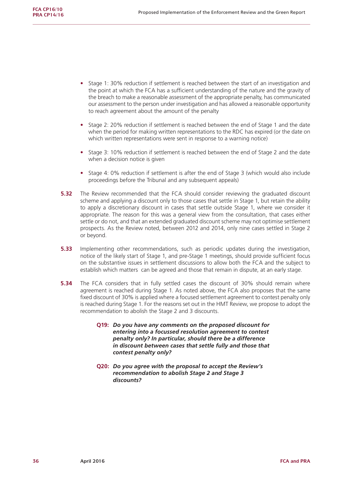- **•** Stage 1: 30% reduction if settlement is reached between the start of an investigation and the point at which the FCA has a sufficient understanding of the nature and the gravity of the breach to make a reasonable assessment of the appropriate penalty, has communicated our assessment to the person under investigation and has allowed a reasonable opportunity to reach agreement about the amount of the penalty
- **•** Stage 2: 20% reduction if settlement is reached between the end of Stage 1 and the date when the period for making written representations to the RDC has expired (or the date on which written representations were sent in response to a warning notice)
- **•** Stage 3: 10% reduction if settlement is reached between the end of Stage 2 and the date when a decision notice is given
- **•** Stage 4: 0% reduction if settlement is after the end of Stage 3 (which would also include proceedings before the Tribunal and any subsequent appeals)
- **5.32** The Review recommended that the FCA should consider reviewing the graduated discount scheme and applying a discount only to those cases that settle in Stage 1, but retain the ability to apply a discretionary discount in cases that settle outside Stage 1, where we consider it appropriate. The reason for this was a general view from the consultation, that cases either settle or do not, and that an extended graduated discount scheme may not optimise settlement prospects. As the Review noted, between 2012 and 2014, only nine cases settled in Stage 2 or beyond.
- **5.33** Implementing other recommendations, such as periodic updates during the investigation, notice of the likely start of Stage 1, and pre-Stage 1 meetings, should provide sufficient focus on the substantive issues in settlement discussions to allow both the FCA and the subject to establish which matters can be agreed and those that remain in dispute, at an early stage.
- **5.34** The FCA considers that in fully settled cases the discount of 30% should remain where agreement is reached during Stage 1. As noted above, the FCA also proposes that the same fixed discount of 30% is applied where a focused settlement agreement to contest penalty only is reached during Stage 1. For the reasons set out in the HMT Review, we propose to adopt the recommendation to abolish the Stage 2 and 3 discounts.
	- **Q19:** *Do you have any comments on the proposed discount for entering into a focussed resolution agreement to contest penalty only? In particular, should there be a difference in discount between cases that settle fully and those that contest penalty only?*
	- **Q20:** *Do you agree with the proposal to accept the Review's recommendation to abolish Stage 2 and Stage 3 discounts?*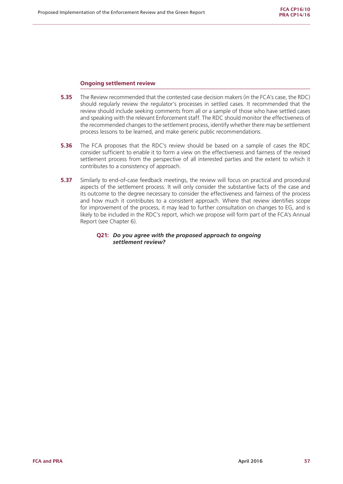#### **Ongoing settlement review**

- **5.35** The Review recommended that the contested case decision makers (in the FCA's case, the RDC) should regularly review the regulator's processes in settled cases. It recommended that the review should include seeking comments from all or a sample of those who have settled cases and speaking with the relevant Enforcement staff. The RDC should monitor the effectiveness of the recommended changes to the settlement process, identify whether there may be settlement process lessons to be learned, and make generic public recommendations.
- **5.36** The FCA proposes that the RDC's review should be based on a sample of cases the RDC consider sufficient to enable it to form a view on the effectiveness and fairness of the revised settlement process from the perspective of all interested parties and the extent to which it contributes to a consistency of approach.
- **5.37** Similarly to end-of-case feedback meetings, the review will focus on practical and procedural aspects of the settlement process. It will only consider the substantive facts of the case and its outcome to the degree necessary to consider the effectiveness and fairness of the process and how much it contributes to a consistent approach. Where that review identifies scope for improvement of the process, it may lead to further consultation on changes to EG, and is likely to be included in the RDC's report, which we propose will form part of the FCA's Annual Report (see Chapter 6).

#### **Q21:** *Do you agree with the proposed approach to ongoing settlement review?*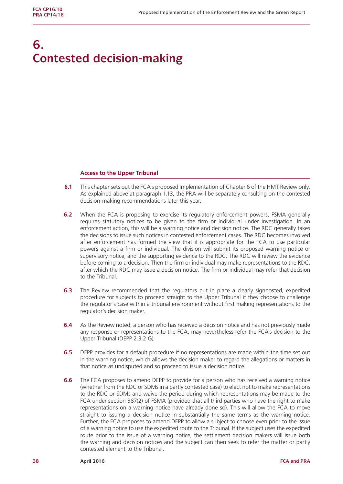## **6. Contested decision-making**

#### **Access to the Upper Tribunal**

- **6.1** This chapter sets out the FCA's proposed implementation of Chapter 6 of the HMT Review only. As explained above at paragraph 1.13, the PRA will be separately consulting on the contested decision-making recommendations later this year.
- **6.2** When the FCA is proposing to exercise its regulatory enforcement powers, FSMA generally requires statutory notices to be given to the firm or individual under investigation. In an enforcement action, this will be a warning notice and decision notice. The RDC generally takes the decisions to issue such notices in contested enforcement cases. The RDC becomes involved after enforcement has formed the view that it is appropriate for the FCA to use particular powers against a firm or individual. The division will submit its proposed warning notice or supervisory notice, and the supporting evidence to the RDC. The RDC will review the evidence before coming to a decision. Then the firm or individual may make representations to the RDC, after which the RDC may issue a decision notice. The firm or individual may refer that decision to the Tribunal.
- **6.3** The Review recommended that the regulators put in place a clearly signposted, expedited procedure for subjects to proceed straight to the Upper Tribunal if they choose to challenge the regulator's case within a tribunal environment without first making representations to the regulator's decision maker.
- **6.4** As the Review noted, a person who has received a decision notice and has not previously made any response or representations to the FCA, may nevertheless refer the FCA's decision to the Upper Tribunal (DEPP 2.3.2 G).
- **6.5** DEPP provides for a default procedure if no representations are made within the time set out in the warning notice, which allows the decision maker to regard the allegations or matters in that notice as undisputed and so proceed to issue a decision notice.
- **6.6** The FCA proposes to amend DEPP to provide for a person who has received a warning notice (whether from the RDC or SDMs in a partly contested case) to elect not to make representations to the RDC or SDMs and waive the period during which representations may be made to the FCA under section 387(2) of FSMA (provided that all third parties who have the right to make representations on a warning notice have already done so). This will allow the FCA to move straight to issuing a decision notice in substantially the same terms as the warning notice. Further, the FCA proposes to amend DEPP to allow a subject to choose even prior to the issue of a warning notice to use the expedited route to the Tribunal. If the subject uses the expedited route prior to the issue of a warning notice, the settlement decision makers will issue both the warning and decision notices and the subject can then seek to refer the matter or partly contested element to the Tribunal.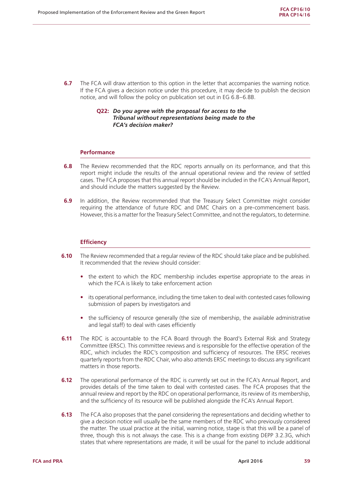- **6.7** The FCA will draw attention to this option in the letter that accompanies the warning notice. If the FCA gives a decision notice under this procedure, it may decide to publish the decision notice, and will follow the policy on publication set out in EG 6.8–6.8B.
	- **Q22:** *Do you agree with the proposal for access to the Tribunal without representations being made to the FCA's decision maker?*

#### **Performance**

- **6.8** The Review recommended that the RDC reports annually on its performance, and that this report might include the results of the annual operational review and the review of settled cases. The FCA proposes that this annual report should be included in the FCA's Annual Report, and should include the matters suggested by the Review.
- **6.9** In addition, the Review recommended that the Treasury Select Committee might consider requiring the attendance of future RDC and DMC Chairs on a pre-commencement basis. However, this is a matter for the Treasury Select Committee, and not the regulators, to determine.

#### **Efficiency**

- **6.10** The Review recommended that a regular review of the RDC should take place and be published. It recommended that the review should consider:
	- **•** the extent to which the RDC membership includes expertise appropriate to the areas in which the FCA is likely to take enforcement action
	- **•** its operational performance, including the time taken to deal with contested cases following submission of papers by investigators and
	- the sufficiency of resource generally (the size of membership, the available administrative and legal staff) to deal with cases efficiently
- **6.11** The RDC is accountable to the FCA Board through the Board's External Risk and Strategy Committee (ERSC). This committee reviews and is responsible for the effective operation of the RDC, which includes the RDC's composition and sufficiency of resources. The ERSC receives quarterly reports from the RDC Chair, who also attends ERSC meetings to discuss any significant matters in those reports.
- **6.12** The operational performance of the RDC is currently set out in the FCA's Annual Report, and provides details of the time taken to deal with contested cases. The FCA proposes that the annual review and report by the RDC on operational performance, its review of its membership, and the sufficiency of its resource will be published alongside the FCA's Annual Report.
- **6.13** The FCA also proposes that the panel considering the representations and deciding whether to give a decision notice will usually be the same members of the RDC who previously considered the matter. The usual practice at the initial, warning notice, stage is that this will be a panel of three, though this is not always the case. This is a change from existing DEPP 3.2.3G, which states that where representations are made, it will be usual for the panel to include additional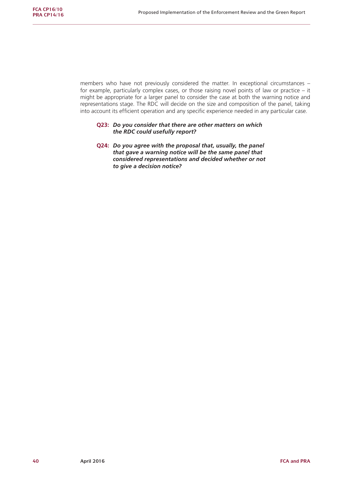members who have not previously considered the matter. In exceptional circumstances – for example, particularly complex cases, or those raising novel points of law or practice – it might be appropriate for a larger panel to consider the case at both the warning notice and representations stage. The RDC will decide on the size and composition of the panel, taking into account its efficient operation and any specific experience needed in any particular case.

#### **Q23:** *Do you consider that there are other matters on which the RDC could usefully report?*

**Q24:** *Do you agree with the proposal that, usually, the panel that gave a warning notice will be the same panel that considered representations and decided whether or not to give a decision notice?*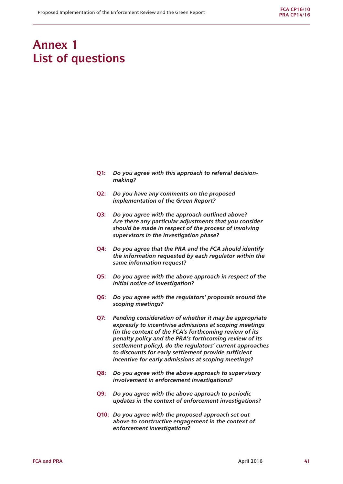## **Annex 1 List of questions**

- **Q1:** *Do you agree with this approach to referral decisionmaking?*
- **Q2:** *Do you have any comments on the proposed implementation of the Green Report?*
- **Q3:** *Do you agree with the approach outlined above? Are there any particular adjustments that you consider should be made in respect of the process of involving supervisors in the investigation phase?*
- **Q4:** *Do you agree that the PRA and the FCA should identify the information requested by each regulator within the same information request?*
- **Q5:** *Do you agree with the above approach in respect of the initial notice of investigation?*
- **Q6:** *Do you agree with the regulators' proposals around the scoping meetings?*
- **Q7:** *Pending consideration of whether it may be appropriate expressly to incentivise admissions at scoping meetings (in the context of the FCA's forthcoming review of its penalty policy and the PRA's forthcoming review of its settlement policy), do the regulators' current approaches to discounts for early settlement provide sufficient incentive for early admissions at scoping meetings?*
- **Q8:** *Do you agree with the above approach to supervisory involvement in enforcement investigations?*
- **Q9:** *Do you agree with the above approach to periodic updates in the context of enforcement investigations?*
- **Q10:** *Do you agree with the proposed approach set out above to constructive engagement in the context of enforcement investigations?*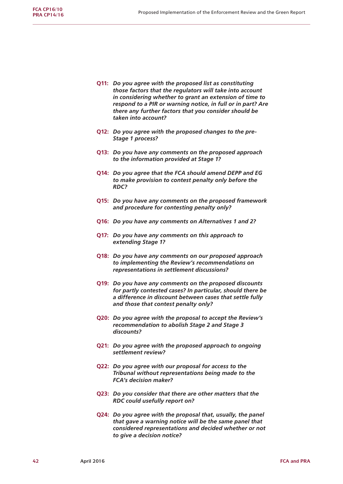- **Q11:** *Do you agree with the proposed list as constituting those factors that the regulators will take into account in considering whether to grant an extension of time to respond to a PIR or warning notice, in full or in part? Are there any further factors that you consider should be taken into account?*
- **Q12:** *Do you agree with the proposed changes to the pre-Stage 1 process?*
- **Q13:** *Do you have any comments on the proposed approach to the information provided at Stage 1?*
- **Q14:** *Do you agree that the FCA should amend DEPP and EG to make provision to contest penalty only before the RDC?*
- **Q15:** *Do you have any comments on the proposed framework and procedure for contesting penalty only?*
- **Q16:** *Do you have any comments on Alternatives 1 and 2?*
- **Q17:** *Do you have any comments on this approach to extending Stage 1?*
- **Q18:** *Do you have any comments on our proposed approach to implementing the Review's recommendations on representations in settlement discussions?*
- **Q19:** *Do you have any comments on the proposed discounts for partly contested cases? In particular, should there be a difference in discount between cases that settle fully and those that contest penalty only?*
- **Q20:** *Do you agree with the proposal to accept the Review's recommendation to abolish Stage 2 and Stage 3 discounts?*
- **Q21:** *Do you agree with the proposed approach to ongoing settlement review?*
- **Q22:** *Do you agree with our proposal for access to the Tribunal without representations being made to the FCA's decision maker?*
- **Q23:** *Do you consider that there are other matters that the RDC could usefully report on?*
- **Q24:** *Do you agree with the proposal that, usually, the panel that gave a warning notice will be the same panel that considered representations and decided whether or not to give a decision notice?*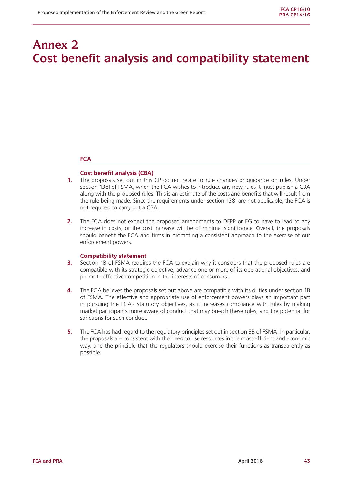## **Annex 2 Cost benefit analysis and compatibility statement**

### **FCA**

#### **Cost benefit analysis (CBA)**

- **1.** The proposals set out in this CP do not relate to rule changes or guidance on rules. Under section 138I of FSMA, when the FCA wishes to introduce any new rules it must publish a CBA along with the proposed rules. This is an estimate of the costs and benefits that will result from the rule being made. Since the requirements under section 138I are not applicable, the FCA is not required to carry out a CBA.
- **2.** The FCA does not expect the proposed amendments to DEPP or EG to have to lead to any increase in costs, or the cost increase will be of minimal significance. Overall, the proposals should benefit the FCA and firms in promoting a consistent approach to the exercise of our enforcement powers.

#### **Compatibility statement**

- **3.** Section 1B of FSMA requires the FCA to explain why it considers that the proposed rules are compatible with its strategic objective, advance one or more of its operational objectives, and promote effective competition in the interests of consumers.
- **4.** The FCA believes the proposals set out above are compatible with its duties under section 1B of FSMA. The effective and appropriate use of enforcement powers plays an important part in pursuing the FCA's statutory objectives, as it increases compliance with rules by making market participants more aware of conduct that may breach these rules, and the potential for sanctions for such conduct.
- **5.** The FCA has had regard to the regulatory principles set out in section 3B of FSMA. In particular, the proposals are consistent with the need to use resources in the most efficient and economic way, and the principle that the regulators should exercise their functions as transparently as possible.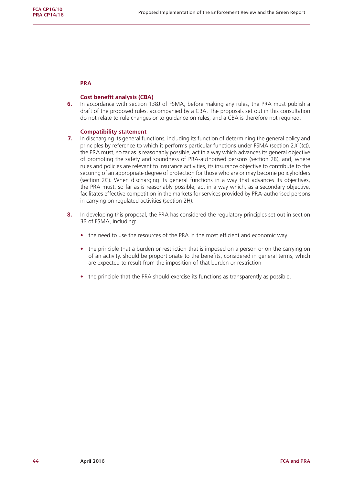#### **PRA**

#### **Cost benefit analysis (CBA)**

**6.** In accordance with section 138J of FSMA, before making any rules, the PRA must publish a draft of the proposed rules, accompanied by a CBA. The proposals set out in this consultation do not relate to rule changes or to guidance on rules, and a CBA is therefore not required.

#### **Compatibility statement**

- **7.** In discharging its general functions, including its function of determining the general policy and principles by reference to which it performs particular functions under FSMA (section 2J(1)(c)), the PRA must, so far as is reasonably possible, act in a way which advances its general objective of promoting the safety and soundness of PRA-authorised persons (section 2B), and, where rules and policies are relevant to insurance activities, its insurance objective to contribute to the securing of an appropriate degree of protection for those who are or may become policyholders (section 2C). When discharging its general functions in a way that advances its objectives, the PRA must, so far as is reasonably possible, act in a way which, as a secondary objective, facilitates effective competition in the markets for services provided by PRA-authorised persons in carrying on regulated activities (section 2H).
- **8.** In developing this proposal, the PRA has considered the regulatory principles set out in section 3B of FSMA, including:
	- **•** the need to use the resources of the PRA in the most efficient and economic way
	- the principle that a burden or restriction that is imposed on a person or on the carrying on of an activity, should be proportionate to the benefits, considered in general terms, which are expected to result from the imposition of that burden or restriction
	- the principle that the PRA should exercise its functions as transparently as possible.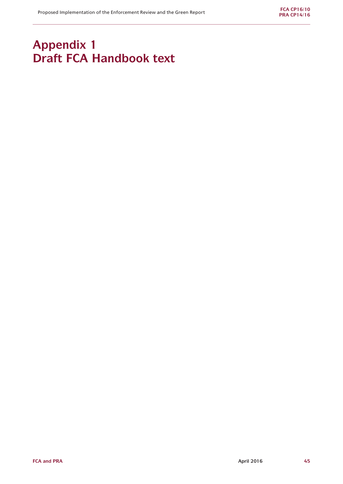## **Appendix 1 Draft FCA Handbook text**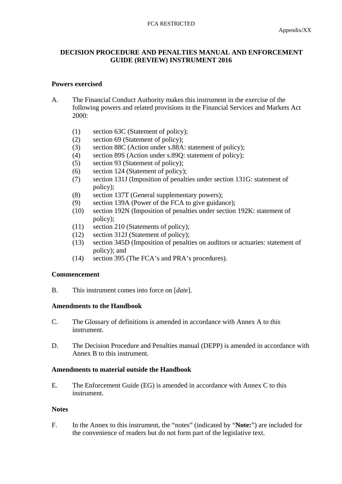## **DECISION PROCEDURE AND PENALTIES MANUAL AND ENFORCEMENT GUIDE (REVIEW) INSTRUMENT 2016**

## **Powers exercised**

- A. The Financial Conduct Authority makes this instrument in the exercise of the following powers and related provisions in the Financial Services and Markets Act 2000:
	- (1) section 63C (Statement of policy);
	- (2) section 69 (Statement of policy);
	- (3) section 88C (Action under s.88A: statement of policy);
	- (4) section 89S (Action under s.89Q: statement of policy);
	- (5) section 93 (Statement of policy);
	- (6) section 124 (Statement of policy);
	- (7) section 131J (Imposition of penalties under section 131G: statement of policy);
	- (8) section 137T (General supplementary powers);
	- (9) section 139A (Power of the FCA to give guidance);
	- (10) section 192N (Imposition of penalties under section 192K: statement of policy);
	- (11) section 210 (Statements of policy);
	- (12) section 312J (Statement of policy);
	- (13) section 345D (Imposition of penalties on auditors or actuaries: statement of policy); and
	- (14) section 395 (The FCA's and PRA's procedures).

## **Commencement**

B. This instrument comes into force on [*date*].

## **Amendments to the Handbook**

- C. The Glossary of definitions is amended in accordance with Annex A to this instrument.
- D. The Decision Procedure and Penalties manual (DEPP) is amended in accordance with Annex B to this instrument.

## **Amendments to material outside the Handbook**

E. The Enforcement Guide (EG) is amended in accordance with Annex C to this instrument.

## **Notes**

F. In the Annex to this instrument, the "notes" (indicated by "**Note:**") are included for the convenience of readers but do not form part of the legislative text.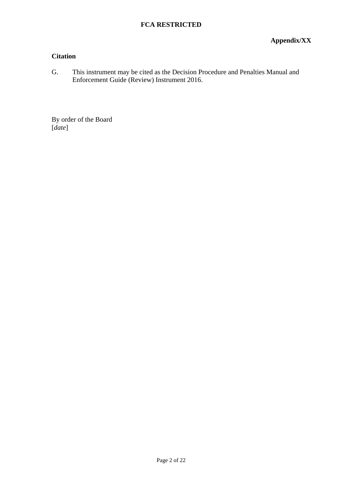## **FCA RESTRICTED**

## **Citation**

G. This instrument may be cited as the Decision Procedure and Penalties Manual and Enforcement Guide (Review) Instrument 2016.

By order of the Board [*date*]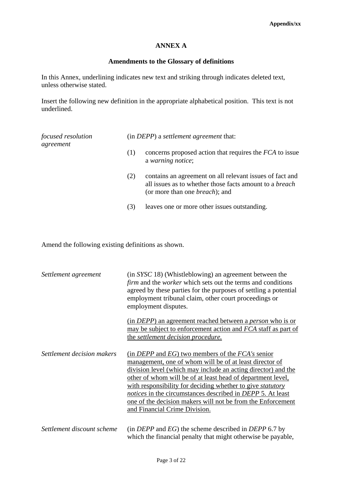## **ANNEX A**

## **Amendments to the Glossary of definitions**

In this Annex, underlining indicates new text and striking through indicates deleted text, unless otherwise stated.

Insert the following new definition in the appropriate alphabetical position. This text is not underlined.

| focused resolution<br>agreement |     | (in <i>DEPP</i> ) a <i>settlement agreement</i> that:                                                                                                                |  |  |
|---------------------------------|-----|----------------------------------------------------------------------------------------------------------------------------------------------------------------------|--|--|
|                                 | (1) | concerns proposed action that requires the FCA to issue<br>a warning notice;                                                                                         |  |  |
|                                 | (2) | contains an agreement on all relevant issues of fact and<br>all issues as to whether those facts amount to a <i>breach</i><br>(or more than one <i>breach</i> ); and |  |  |
|                                 | (3) | leaves one or more other issues outstanding.                                                                                                                         |  |  |

Amend the following existing definitions as shown.

| Settlement agreement       | (in SYSC 18) (Whistleblowing) an agreement between the<br>firm and the worker which sets out the terms and conditions<br>agreed by these parties for the purposes of settling a potential<br>employment tribunal claim, other court proceedings or<br>employment disputes.                                                                                                                                                                                                                               |  |
|----------------------------|----------------------------------------------------------------------------------------------------------------------------------------------------------------------------------------------------------------------------------------------------------------------------------------------------------------------------------------------------------------------------------------------------------------------------------------------------------------------------------------------------------|--|
|                            | (in <i>DEPP</i> ) an agreement reached between a <i>person</i> who is or<br>may be subject to enforcement action and FCA staff as part of<br>the settlement decision procedure.                                                                                                                                                                                                                                                                                                                          |  |
| Settlement decision makers | (in <i>DEPP</i> and $EG$ ) two members of the $FCA's$ senior<br>management, one of whom will be of at least director of<br>division level (which may include an acting director) and the<br>other of whom will be of at least head of department level,<br>with responsibility for deciding whether to give <i>statutory</i><br><i>notices</i> in the circumstances described in <i>DEPP</i> 5. At least<br>one of the decision makers will not be from the Enforcement<br>and Financial Crime Division. |  |
| Settlement discount scheme | (in <i>DEPP</i> and $EG$ ) the scheme described in <i>DEPP</i> 6.7 by<br>which the financial penalty that might otherwise be payable,                                                                                                                                                                                                                                                                                                                                                                    |  |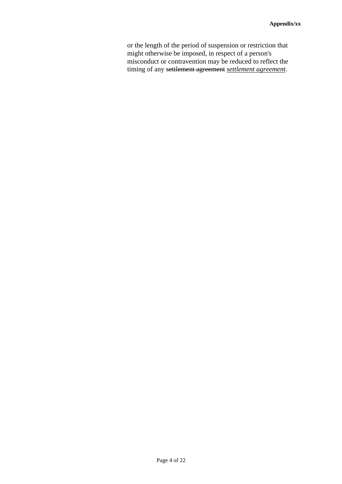or the length of the period of suspension or restriction that might otherwise be imposed, in respect of a person's misconduct or contravention may be reduced to reflect the timing of any settlement agreement *settlement agreement*.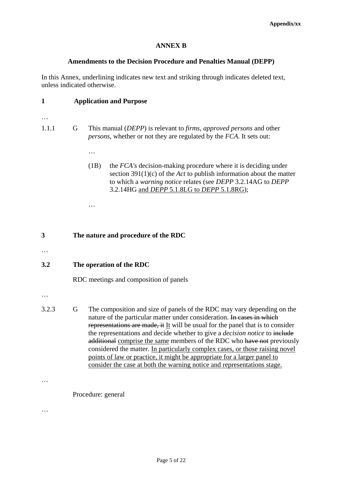## **ANNEX B**

## **Amendments to the Decision Procedure and Penalties Manual (DEPP)**

In this Annex, underlining indicates new text and striking through indicates deleted text, unless indicated otherwise.

## **1 Application and Purpose**

- …
- 1.1.1 G This manual (*DEPP*) is relevant to *firms*, *approved persons* and other *persons*, whether or not they are regulated by the *FCA*. It sets out:
	- …
	- (1B) the *FCA's* decision-making procedure where it is deciding under section 391(1)(c) of the *Act* to publish information about the matter to which a *warning notice* relates (see *DEPP* 3.2.14AG to *DEPP* 3.2.14HG and *DEPP* 5.1.8LG to *DEPP* 5.1.8RG);

…

## **3 The nature and procedure of the RDC**

…

## **3.2 The operation of the RDC**

RDC meetings and composition of panels

- …
- 3.2.3 G The composition and size of panels of the RDC may vary depending on the nature of the particular matter under consideration. In cases in which representations are made, it It will be usual for the panel that is to consider the representations and decide whether to give a *decision notice* to include additional comprise the same members of the RDC who have not previously considered the matter. In particularly complex cases, or those raising novel points of law or practice, it might be appropriate for a larger panel to consider the case at both the warning notice and representations stage.

…

Procedure: general

…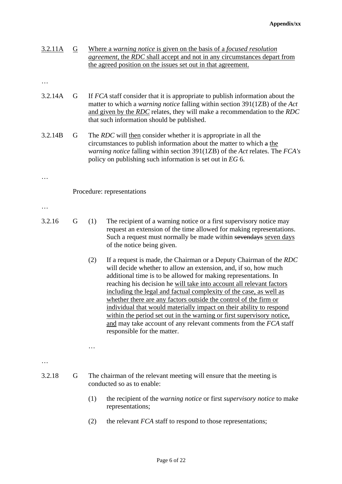| 3.2.11A | $\overline{G}$ | Where a warning notice is given on the basis of a focused resolution<br><i>agreement</i> , the RDC shall accept and not in any circumstances depart from<br>the agreed position on the issues set out in that agreement.                                                                    |                                                                                                                                                                                                                                                                                                                                                                                                                                                                                                                                                                                                                                                                               |  |
|---------|----------------|---------------------------------------------------------------------------------------------------------------------------------------------------------------------------------------------------------------------------------------------------------------------------------------------|-------------------------------------------------------------------------------------------------------------------------------------------------------------------------------------------------------------------------------------------------------------------------------------------------------------------------------------------------------------------------------------------------------------------------------------------------------------------------------------------------------------------------------------------------------------------------------------------------------------------------------------------------------------------------------|--|
| 3.2.14A | G              | If FCA staff consider that it is appropriate to publish information about the<br>matter to which a warning notice falling within section 391(1ZB) of the Act<br>and given by the RDC relates, they will make a recommendation to the RDC<br>that such information should be published.      |                                                                                                                                                                                                                                                                                                                                                                                                                                                                                                                                                                                                                                                                               |  |
| 3.2.14B | G              | The RDC will then consider whether it is appropriate in all the<br>circumstances to publish information about the matter to which a the<br><i>warning notice</i> falling within section 391(1ZB) of the Act relates. The FCA's<br>policy on publishing such information is set out in EG 6. |                                                                                                                                                                                                                                                                                                                                                                                                                                                                                                                                                                                                                                                                               |  |
|         |                |                                                                                                                                                                                                                                                                                             |                                                                                                                                                                                                                                                                                                                                                                                                                                                                                                                                                                                                                                                                               |  |
|         |                |                                                                                                                                                                                                                                                                                             | Procedure: representations                                                                                                                                                                                                                                                                                                                                                                                                                                                                                                                                                                                                                                                    |  |
| .       |                |                                                                                                                                                                                                                                                                                             |                                                                                                                                                                                                                                                                                                                                                                                                                                                                                                                                                                                                                                                                               |  |
| 3.2.16  | G              | (1)                                                                                                                                                                                                                                                                                         | The recipient of a warning notice or a first supervisory notice may<br>request an extension of the time allowed for making representations.<br>Such a request must normally be made within sevendays seven days<br>of the notice being given.                                                                                                                                                                                                                                                                                                                                                                                                                                 |  |
|         |                | (2)                                                                                                                                                                                                                                                                                         | If a request is made, the Chairman or a Deputy Chairman of the RDC<br>will decide whether to allow an extension, and, if so, how much<br>additional time is to be allowed for making representations. In<br>reaching his decision he will take into account all relevant factors<br>including the legal and factual complexity of the case, as well as<br>whether there are any factors outside the control of the firm or<br>individual that would materially impact on their ability to respond<br>within the period set out in the warning or first supervisory notice,<br>and may take account of any relevant comments from the FCA staff<br>responsible for the matter. |  |
|         |                | .                                                                                                                                                                                                                                                                                           |                                                                                                                                                                                                                                                                                                                                                                                                                                                                                                                                                                                                                                                                               |  |
| 3.2.18  | G              | The chairman of the relevant meeting will ensure that the meeting is<br>conducted so as to enable:                                                                                                                                                                                          |                                                                                                                                                                                                                                                                                                                                                                                                                                                                                                                                                                                                                                                                               |  |
|         |                | (1)                                                                                                                                                                                                                                                                                         | the recipient of the <i>warning notice</i> or first <i>supervisory notice</i> to make<br>representations;                                                                                                                                                                                                                                                                                                                                                                                                                                                                                                                                                                     |  |
|         |                | (2)                                                                                                                                                                                                                                                                                         | the relevant <i>FCA</i> staff to respond to those representations;                                                                                                                                                                                                                                                                                                                                                                                                                                                                                                                                                                                                            |  |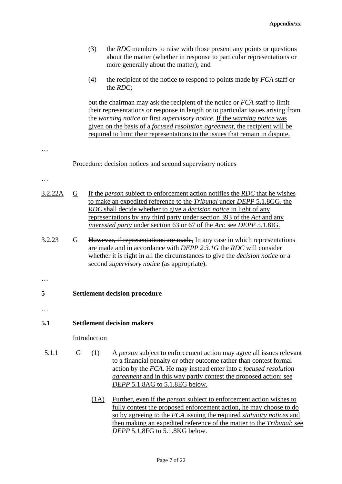|         |                                   | (3)                                                                                                                                                                                                                                                                                                                                                                                                         | the RDC members to raise with those present any points or questions<br>about the matter (whether in response to particular representations or<br>more generally about the matter); and                                                                                                                                                                                                                              |  |  |
|---------|-----------------------------------|-------------------------------------------------------------------------------------------------------------------------------------------------------------------------------------------------------------------------------------------------------------------------------------------------------------------------------------------------------------------------------------------------------------|---------------------------------------------------------------------------------------------------------------------------------------------------------------------------------------------------------------------------------------------------------------------------------------------------------------------------------------------------------------------------------------------------------------------|--|--|
|         |                                   | (4)                                                                                                                                                                                                                                                                                                                                                                                                         | the recipient of the notice to respond to points made by FCA staff or<br>the RDC;                                                                                                                                                                                                                                                                                                                                   |  |  |
|         |                                   |                                                                                                                                                                                                                                                                                                                                                                                                             | but the chairman may ask the recipient of the notice or FCA staff to limit<br>their representations or response in length or to particular issues arising from<br>the warning notice or first supervisory notice. If the warning notice was<br>given on the basis of a <i>focused resolution agreement</i> , the recipient will be<br>required to limit their representations to the issues that remain in dispute. |  |  |
|         |                                   |                                                                                                                                                                                                                                                                                                                                                                                                             |                                                                                                                                                                                                                                                                                                                                                                                                                     |  |  |
|         |                                   |                                                                                                                                                                                                                                                                                                                                                                                                             | Procedure: decision notices and second supervisory notices                                                                                                                                                                                                                                                                                                                                                          |  |  |
|         |                                   |                                                                                                                                                                                                                                                                                                                                                                                                             |                                                                                                                                                                                                                                                                                                                                                                                                                     |  |  |
| 3.2.22A | G                                 | If the <i>person</i> subject to enforcement action notifies the RDC that he wishes<br>to make an expedited reference to the <i>Tribunal</i> under <i>DEPP</i> 5.1.8GG, the<br>RDC shall decide whether to give a <i>decision notice</i> in light of any<br>representations by any third party under section 393 of the Act and any<br>interested party under section 63 or 67 of the Act: see DEPP 5.1.8IG. |                                                                                                                                                                                                                                                                                                                                                                                                                     |  |  |
| 3.2.23  | G                                 | However, if representations are made, In any case in which representations<br>are made and in accordance with <i>DEPP 2.3.1G</i> the <i>RDC</i> will consider<br>whether it is right in all the circumstances to give the <i>decision notice</i> or a<br>second supervisory notice (as appropriate).                                                                                                        |                                                                                                                                                                                                                                                                                                                                                                                                                     |  |  |
|         |                                   |                                                                                                                                                                                                                                                                                                                                                                                                             |                                                                                                                                                                                                                                                                                                                                                                                                                     |  |  |
| 5       |                                   |                                                                                                                                                                                                                                                                                                                                                                                                             | <b>Settlement decision procedure</b>                                                                                                                                                                                                                                                                                                                                                                                |  |  |
|         |                                   |                                                                                                                                                                                                                                                                                                                                                                                                             |                                                                                                                                                                                                                                                                                                                                                                                                                     |  |  |
| 5.1     | <b>Settlement decision makers</b> |                                                                                                                                                                                                                                                                                                                                                                                                             |                                                                                                                                                                                                                                                                                                                                                                                                                     |  |  |
|         | Introduction                      |                                                                                                                                                                                                                                                                                                                                                                                                             |                                                                                                                                                                                                                                                                                                                                                                                                                     |  |  |
| 5.1.1   | G                                 | (1)                                                                                                                                                                                                                                                                                                                                                                                                         | A <i>person</i> subject to enforcement action may agree all issues relevant<br>to a financial penalty or other outcome rather than contest formal<br>action by the FCA. He may instead enter into a focused resolution<br><i>agreement</i> and in this way partly contest the proposed action: see<br>DEPP 5.1.8AG to 5.1.8EG below.                                                                                |  |  |
|         |                                   | (1A)                                                                                                                                                                                                                                                                                                                                                                                                        | Further, even if the <i>person</i> subject to enforcement action wishes to<br>fully contest the proposed enforcement action, he may choose to do<br>so by agreeing to the <i>FCA</i> issuing the required <i>statutory notices</i> and<br>then making an expedited reference of the matter to the Tribunal: see<br>DEPP 5.1.8FG to 5.1.8KG below.                                                                   |  |  |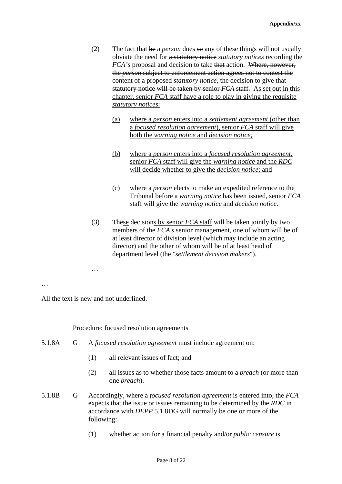- (2) The fact that he a *person* does so any of these things will not usually obviate the need for a statutory notice *statutory notices* recording the *FCA's proposal and decision to take that action.* Where, however, the *person* subject to enforcement action agrees not to contest the content of a proposed *statutory notice,* the decision to give that statutory notice will be taken by senior *FCA* staff. As set out in this chapter, senior *FCA* staff have a role to play in giving the requisite *statutory notices*:
	- (a) where a *person* enters into a *settlement agreement* (other than a *focused resolution agreement*), senior *FCA* staff will give both the *warning notice* and *decision notice;*
	- (b) where a *person* enters into a *focused resolution agreement*, senior *FCA* staff will give the *warning notice* and the *RDC*  will decide whether to give the *decision notice*; and
	- (c) where a *person* elects to make an expedited reference to the Tribunal before a *warning notice* has been issued, senior *FCA*  staff will give the *warning notice* and *decision notice*.
- (3) These decisions by senior *FCA* staff will be taken jointly by two members of the *FCA's* senior management, one of whom will be of at least director of division level (which may include an acting director) and the other of whom will be of at least head of department level (the "*settlement decision makers*").

…

…

All the text is new and not underlined.

Procedure: focused resolution agreements

- 5.1.8A G A *focused resolution agreement* must include agreement on:
	- (1) all relevant issues of fact; and
	- (2) all issues as to whether those facts amount to a *breach* (or more than one *breach*).
- 5.1.8B G Accordingly, where a *focused resolution agreement* is entered into, the *FCA*  expects that the issue or issues remaining to be determined by the *RDC* in accordance with *DEPP* 5.1.8DG will normally be one or more of the following:
	- (1) whether action for a financial penalty and/or *public censure* is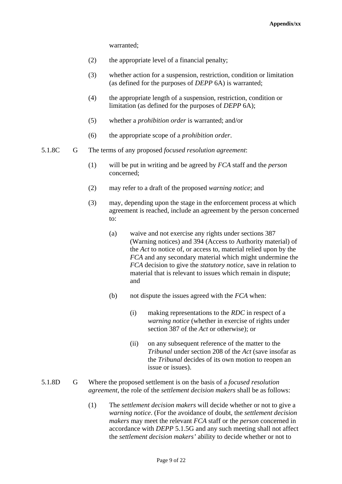warranted;

- (2) the appropriate level of a financial penalty;
- (3) whether action for a suspension, restriction, condition or limitation (as defined for the purposes of *DEPP* 6A) is warranted;
- (4) the appropriate length of a suspension, restriction, condition or limitation (as defined for the purposes of *DEPP* 6A);
- (5) whether a *prohibition order* is warranted; and/or
- (6) the appropriate scope of a *prohibition order*.
- 5.1.8C G The terms of any proposed *focused resolution agreement*:
	- (1) will be put in writing and be agreed by *FCA* staff and the *person* concerned;
	- (2) may refer to a draft of the proposed *warning notice*; and
	- (3) may, depending upon the stage in the enforcement process at which agreement is reached, include an agreement by the person concerned to:
		- (a) waive and not exercise any rights under sections 387 (Warning notices) and 394 (Access to Authority material) of the *Act* to notice of, or access to, material relied upon by the *FCA* and any secondary material which might undermine the *FCA* decision to give the *statutory notice,* save in relation to material that is relevant to issues which remain in dispute; and
		- (b) not dispute the issues agreed with the *FCA* when:
			- (i) making representations to the *RDC* in respect of a *warning notice* (whether in exercise of rights under section 387 of the *Act* or otherwise); or
			- (ii) on any subsequent reference of the matter to the *Tribunal* under section 208 of the *Act* (save insofar as the *Tribunal* decides of its own motion to reopen an issue or issues).
- 5.1.8D G Where the proposed settlement is on the basis of a *focused resolution agreement*, the role of the *settlement decision makers* shall be as follows:
	- (1) The *settlement decision makers* will decide whether or not to give a *warning notice*. (For the avoidance of doubt, the *settlement decision makers* may meet the relevant *FCA* staff or the *person* concerned in accordance with *DEPP* 5.1.5G and any such meeting shall not affect the *settlement decision makers'* ability to decide whether or not to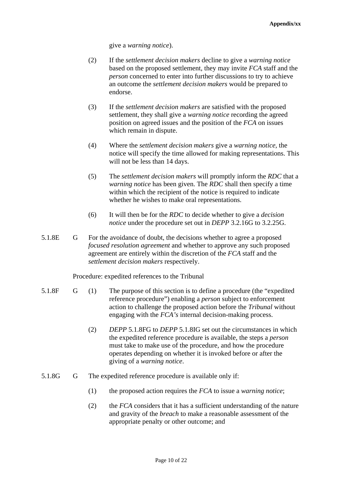give a *warning notice*).

- (2) If the *settlement decision makers* decline to give a *warning notice* based on the proposed settlement, they may invite *FCA* staff and the *person* concerned to enter into further discussions to try to achieve an outcome the *settlement decision makers* would be prepared to endorse.
- (3) If the *settlement decision makers* are satisfied with the proposed settlement, they shall give a *warning notice* recording the agreed position on agreed issues and the position of the *FCA* on issues which remain in dispute.
- (4) Where the *settlement decision makers* give a *warning notice,* the notice will specify the time allowed for making representations. This will not be less than 14 days.
- (5) The *settlement decision makers* will promptly inform the *RDC* that a *warning notice* has been given. The *RDC* shall then specify a time within which the recipient of the notice is required to indicate whether he wishes to make oral representations.
- (6) It will then be for the *RDC* to decide whether to give a *decision notice* under the procedure set out in *DEPP* 3.2.16G to 3.2.25G.
- 5.1.8E G For the avoidance of doubt, the decisions whether to agree a proposed *focused resolution agreement* and whether to approve any such proposed agreement are entirely within the discretion of the *FCA* staff and the *settlement decision makers* respectively.

Procedure: expedited references to the Tribunal

- 5.1.8F G (1) The purpose of this section is to define a procedure (the "expedited reference procedure") enabling a *person* subject to enforcement action to challenge the proposed action before the *Tribunal* without engaging with the *FCA's* internal decision-making process.
	- (2) *DEPP* 5.1.8FG to *DEPP* 5.1.8IG set out the circumstances in which the expedited reference procedure is available, the steps a *person*  must take to make use of the procedure, and how the procedure operates depending on whether it is invoked before or after the giving of a *warning notice*.
- 5.1.8G G The expedited reference procedure is available only if:
	- (1) the proposed action requires the *FCA* to issue a *warning notice*;
	- (2) the *FCA* considers that it has a sufficient understanding of the nature and gravity of the *breach* to make a reasonable assessment of the appropriate penalty or other outcome; and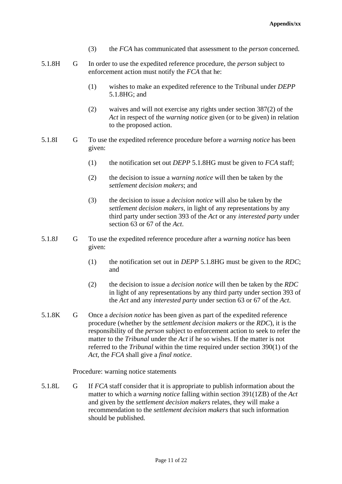- (3) the *FCA* has communicated that assessment to the *person* concerned.
- 5.1.8H G In order to use the expedited reference procedure, the *person* subject to enforcement action must notify the *FCA* that he:
	- (1) wishes to make an expedited reference to the Tribunal under *DEPP* 5.1.8HG; and
	- (2) waives and will not exercise any rights under section 387(2) of the *Act* in respect of the *warning notice* given (or to be given) in relation to the proposed action.
- 5.1.8I G To use the expedited reference procedure before a *warning notice* has been given:
	- (1) the notification set out *DEPP* 5.1.8HG must be given to *FCA* staff;
	- (2) the decision to issue a *warning notice* will then be taken by the *settlement decision makers*; and
	- (3) the decision to issue a *decision notice* will also be taken by the *settlement decision makers,* in light of any representations by any third party under section 393 of the *Act* or any *interested party* under section 63 or 67 of the *Act*.
- 5.1.8J G To use the expedited reference procedure after a *warning notice* has been given:
	- (1) the notification set out in *DEPP* 5.1.8HG must be given to the *RDC*; and
	- (2) the decision to issue a *decision notice* will then be taken by the *RDC* in light of any representations by any third party under section 393 of the *Act* and any *interested party* under section 63 or 67 of the *Act*.
- 5.1.8K G Once a *decision notice* has been given as part of the expedited reference procedure (whether by the *settlement decision makers* or the *RDC*), it is the responsibility of the *person* subject to enforcement action to seek to refer the matter to the *Tribunal* under the *Act* if he so wishes. If the matter is not referred to the *Tribunal* within the time required under section 390(1) of the *Act*, the *FCA* shall give a *final notice*.

Procedure: warning notice statements

5.1.8L G If *FCA* staff consider that it is appropriate to publish information about the matter to which a *warning notice* falling within section 391(1ZB) of the *Act* and given by the *settlement decision makers* relates, they will make a recommendation to the *settlement decision makers* that such information should be published.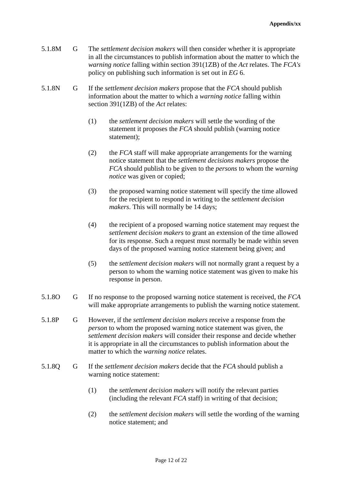- 5.1.8M G The *settlement decision makers* will then consider whether it is appropriate in all the circumstances to publish information about the matter to which the *warning notice* falling within section 391(1ZB) of the *Act* relates. The *FCA's* policy on publishing such information is set out in *EG* 6.
- 5.1.8N G If the *settlement decision makers* propose that the *FCA* should publish information about the matter to which a *warning notice* falling within section 391(1ZB) of the *Act* relates:
	- (1) the *settlement decision makers* will settle the wording of the statement it proposes the *FCA* should publish (warning notice statement);
	- (2) the *FCA* staff will make appropriate arrangements for the warning notice statement that the *settlement decisions makers* propose the *FCA* should publish to be given to the *persons* to whom the *warning notice* was given or copied;
	- (3) the proposed warning notice statement will specify the time allowed for the recipient to respond in writing to the *settlement decision makers*. This will normally be 14 days;
	- (4) the recipient of a proposed warning notice statement may request the *settlement decision makers* to grant an extension of the time allowed for its response. Such a request must normally be made within seven days of the proposed warning notice statement being given; and
	- (5) the *settlement decision makers* will not normally grant a request by a person to whom the warning notice statement was given to make his response in person.
- 5.1.8O G If no response to the proposed warning notice statement is received, the *FCA* will make appropriate arrangements to publish the warning notice statement.
- 5.1.8P G However, if the *settlement decision makers* receive a response from the *person* to whom the proposed warning notice statement was given, the *settlement decision makers* will consider their response and decide whether it is appropriate in all the circumstances to publish information about the matter to which the *warning notice* relates.
- 5.1.8Q G If the *settlement decision makers* decide that the *FCA* should publish a warning notice statement:
	- (1) the *settlement decision makers* will notify the relevant parties (including the relevant *FCA* staff) in writing of that decision;
	- (2) the *settlement decision makers* will settle the wording of the warning notice statement; and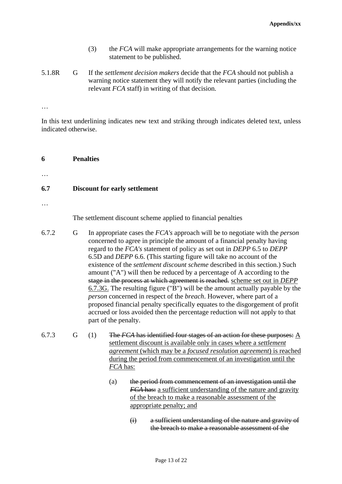- (3) the *FCA* will make appropriate arrangements for the warning notice statement to be published.
- 5.1.8R G If the *settlement decision makers* decide that the *FCA* should not publish a warning notice statement they will notify the relevant parties (including the relevant *FCA* staff) in writing of that decision.

…

In this text underlining indicates new text and striking through indicates deleted text, unless indicated otherwise.

**6 Penalties** 

…

## **6.7 Discount for early settlement**

…

The settlement discount scheme applied to financial penalties

- 6.7.2 G In appropriate cases the *FCA's* approach will be to negotiate with the *person* concerned to agree in principle the amount of a financial penalty having regard to the *FCA's* statement of policy as set out in *DEPP* 6.5 to *DEPP*  6.5D and *DEPP* 6.6. (This starting figure will take no account of the existence of the *settlement discount scheme* described in this section.) Such amount ("A") will then be reduced by a percentage of A according to the stage in the process at which agreement is reached. scheme set out in *DEPP* 6.7.3G. The resulting figure ("B") will be the amount actually payable by the *person* concerned in respect of the *breach*. However, where part of a proposed financial penalty specifically equates to the disgorgement of profit accrued or loss avoided then the percentage reduction will not apply to that part of the penalty.
- 6.7.3 G (1) The *FCA* has identified four stages of an action for these purposes:  $\underline{A}$ settlement discount is available only in cases where a *settlement agreement* (which may be a *focused resolution agreement*) is reached during the period from commencement of an investigation until the *FCA* has:
	- (a) the period from commencement of an investigation until the *FCA* has: a sufficient understanding of the nature and gravity of the breach to make a reasonable assessment of the appropriate penalty; and
		- (i) a sufficient understanding of the nature and gravity of the breach to make a reasonable assessment of the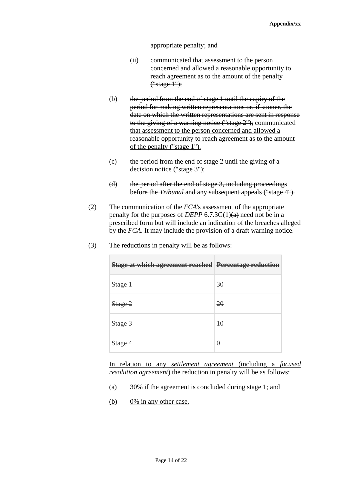#### appropriate penalty; and

- (ii) communicated that assessment to the person concerned and allowed a reasonable opportunity to reach agreement as to the amount of the penalty  $("stage 1");$
- (b) the period from the end of stage 1 until the expiry of the period for making written representations or, if sooner, the date on which the written representations are sent in response to the giving of a warning notice ("stage 2"); communicated that assessment to the person concerned and allowed a reasonable opportunity to reach agreement as to the amount of the penalty ("stage 1").
- (c) the period from the end of stage 2 until the giving of a decision notice ("stage 3");
- (d) the period after the end of stage 3, including proceedings before the *Tribunal* and any subsequent appeals ("stage 4").
- (2) The communication of the *FCA*'s assessment of the appropriate penalty for the purposes of *DEPP* 6.7.3G(1) $(a)$  need not be in a prescribed form but will include an indication of the breaches alleged by the *FCA*. It may include the provision of a draft warning notice.

| Stage at which agreement reached Percentage reduction |                 |
|-------------------------------------------------------|-----------------|
| Stage 1                                               | 30              |
| Stage 2                                               | 20              |
| Stage 3                                               | $\overline{10}$ |
| Stage                                                 | A               |

#### (3) The reductions in penalty will be as follows:

In relation to any *settlement agreement* (including a *focused resolution agreement*) the reduction in penalty will be as follows:

- (a) 30% if the agreement is concluded during stage 1; and
- (b) 0% in any other case.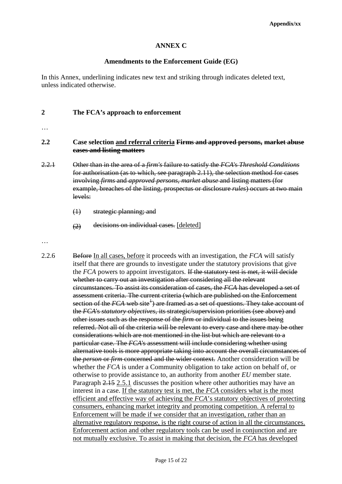## **ANNEX C**

### **Amendments to the Enforcement Guide (EG)**

In this Annex, underlining indicates new text and striking through indicates deleted text, unless indicated otherwise.

## **2 The FCA's approach to enforcement**

…

### **2.2 Case selection and referral criteria Firms and approved persons, market abuse cases and listing matters**

- 2.2.1 Other than in the area of a *firm's* failure to satisfy the *FCA*'s *Threshold Conditions*  for authorisation (as to which, see paragraph 2.11), the selection method for cases involving *firms* and *approved persons*, *market abuse* and listing matters (for example, breaches of the listing, prospectus or disclosure *rules*) occurs at two main levels:
	- (1) strategic planning; and
	- (2) decisions on individual cases. [deleted]
- …
- 2.2.6 Before In all cases, before it proceeds with an investigation, the *FCA* will satisfy itself that there are grounds to investigate under the statutory provisions that give the *FCA* powers to appoint investigators. If the statutory test is met, it will decide whether to carry out an investigation after considering all the relevant circumstances. To assist its consideration of cases, the *FCA* has developed a set of assessment criteria. The current criteria (which are published on the Enforcement section of the *FCA* web site<sup>+</sup>) are framed as a set of questions. They take account of the *FCA*'s *statutory objectives*, its strategic/supervision priorities (see above) and other issues such as the response of the *firm* or individual to the issues being referred. Not all of the criteria will be relevant to every case and there may be other considerations which are not mentioned in the list but which are relevant to a particular case. The *FCA*'s assessment will include considering whether using alternative tools is more appropriate taking into account the overall circumstances of the *person* or *firm* concerned and the wider context. Another consideration will be whether the *FCA* is under a Community obligation to take action on behalf of, or otherwise to provide assistance to, an authority from another *EU* member state. Paragraph 2.15 2.5.1 discusses the position where other authorities may have an interest in a case. If the statutory test is met, the *FCA* considers what is the most efficient and effective way of achieving the *FCA*'s statutory objectives of protecting consumers, enhancing market integrity and promoting competition. A referral to Enforcement will be made if we consider that an investigation, rather than an alternative regulatory response, is the right course of action in all the circumstances. Enforcement action and other regulatory tools can be used in conjunction and are not mutually exclusive. To assist in making that decision, the *FCA* has developed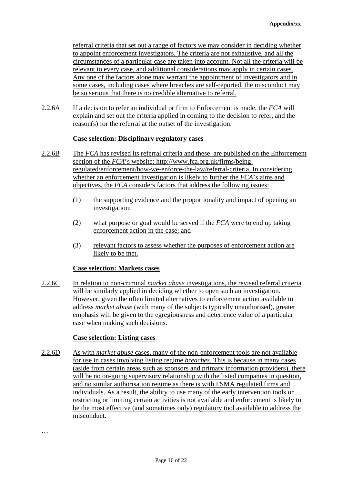referral criteria that set out a range of factors we may consider in deciding whether to appoint enforcement investigators. The criteria are not exhaustive, and all the circumstances of a particular case are taken into account. Not all the criteria will be relevant to every case, and additional considerations may apply in certain cases. Any one of the factors alone may warrant the appointment of investigators and in some cases, including cases where breaches are self-reported, the misconduct may be so serious that there is no credible alternative to referral.

2.2.6A If a decision to refer an individual or firm to Enforcement is made, the *FCA* will explain and set out the criteria applied in coming to the decision to refer, and the reason(s) for the referral at the outset of the investigation.

## **Case selection: Disciplinary regulatory cases**

- 2.2.6B The *FCA* has revised its referral criteria and these are published on the Enforcement section of the *FCA*'s website: http://www.fca.org.uk/firms/beingregulated/enforcement/how-we-enforce-the-law/referral-criteria. In considering whether an enforcement investigation is likely to further the *FCA*'s aims and objectives, the *FCA* considers factors that address the following issues:
	- (1) the supporting evidence and the proportionality and impact of opening an investigation;
	- (2) what purpose or goal would be served if the *FCA* were to end up taking enforcement action in the case; and
	- (3) relevant factors to assess whether the purposes of enforcement action are likely to be met.

#### **Case selection: Markets cases**

2.2.6C In relation to non-criminal *market abuse* investigations, the revised referral criteria will be similarly applied in deciding whether to open such an investigation. However, given the often limited alternatives to enforcement action available to address *market abuse* (with many of the subjects typically unauthorised), greater emphasis will be given to the egregiousness and deterrence value of a particular case when making such decisions.

## **Case selection: Listing cases**

…

2.2.6D As with *market abuse* cases, many of the non-enforcement tools are not available for use in cases involving listing regime *breaches*. This is because in many cases (aside from certain areas such as sponsors and primary information providers), there will be no on-going supervisory relationship with the listed companies in question, and no similar authorisation regime as there is with FSMA regulated firms and individuals. As a result, the ability to use many of the early intervention tools or restricting or limiting certain activities is not available and enforcement is likely to be the most effective (and sometimes only) regulatory tool available to address the misconduct.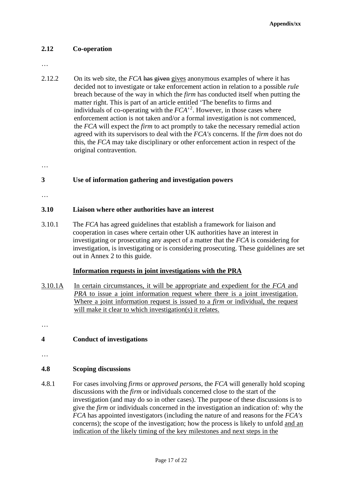## **2.12 Co-operation**

- …
- 2.12.2 On its web site, the *FCA* has given gives anonymous examples of where it has decided not to investigate or take enforcement action in relation to a possible *rule*  breach because of the way in which the *firm* has conducted itself when putting the matter right. This is part of an article entitled 'The benefits to firms and individuals of co-operating with the  $FCA^2$ . However, in those cases where enforcement action is not taken and/or a formal investigation is not commenced, the *FCA* will expect the *firm* to act promptly to take the necessary remedial action agreed with its supervisors to deal with the *FCA's* concerns. If the *firm* does not do this, the *FCA* may take disciplinary or other enforcement action in respect of the original contravention.

…

## **3 Use of information gathering and investigation powers**

…

## **3.10 Liaison where other authorities have an interest**

3.10.1 The *FCA* has agreed guidelines that establish a framework for liaison and cooperation in cases where certain other UK authorities have an interest in investigating or prosecuting any aspect of a matter that the *FCA* is considering for investigation, is investigating or is considering prosecuting. These guidelines are set out in Annex 2 to this guide.

## **Information requests in joint investigations with the PRA**

3.10.1A In certain circumstances, it will be appropriate and expedient for the *FCA* and *PRA* to issue a joint information request where there is a joint investigation. Where a joint information request is issued to a *firm* or individual, the request will make it clear to which investigation(s) it relates.

…

## **4 Conduct of investigations**

…

## **4.8 Scoping discussions**

4.8.1 For cases involving *firms* or *approved persons*, the *FCA* will generally hold scoping discussions with the *firm* or individuals concerned close to the start of the investigation (and may do so in other cases). The purpose of these discussions is to give the *firm* or individuals concerned in the investigation an indication of: why the *FCA* has appointed investigators (including the nature of and reasons for the *FCA's*  concerns); the scope of the investigation; how the process is likely to unfold and an indication of the likely timing of the key milestones and next steps in the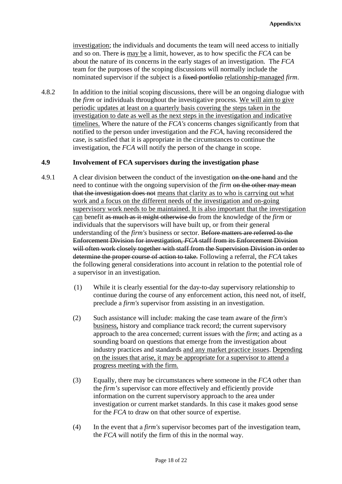investigation; the individuals and documents the team will need access to initially and so on. There is may be a limit, however, as to how specific the *FCA* can be about the nature of its concerns in the early stages of an investigation. The *FCA*  team for the purposes of the scoping discussions will normally include the nominated supervisor if the subject is a fixed portfolio relationship-managed *firm*.

4.8.2 In addition to the initial scoping discussions, there will be an ongoing dialogue with the *firm* or individuals throughout the investigative process. We will aim to give periodic updates at least on a quarterly basis covering the steps taken in the investigation to date as well as the next steps in the investigation and indicative timelines. Where the nature of the *FCA's* concerns changes significantly from that notified to the person under investigation and the *FCA*, having reconsidered the case, is satisfied that it is appropriate in the circumstances to continue the investigation, the *FCA* will notify the person of the change in scope.

### **4.9 Involvement of FCA supervisors during the investigation phase**

- 4.9.1 A clear division between the conduct of the investigation on the one hand and the need to continue with the ongoing supervision of the *firm* on the other may mean that the investigation does not means that clarity as to who is carrying out what work and a focus on the different needs of the investigation and on-going supervisory work needs to be maintained. It is also important that the investigation can benefit as much as it might otherwise do from the knowledge of the *firm* or individuals that the supervisors will have built up, or from their general understanding of the *firm's* business or sector. Before matters are referred to the Enforcement Division for investigation, *FCA* staff from its Enforcement Division will often work closely together with staff from the Supervision Division in order to determine the proper course of action to take. Following a referral, the *FCA* takes the following general considerations into account in relation to the potential role of a supervisor in an investigation.
	- (1) While it is clearly essential for the day-to-day supervisory relationship to continue during the course of any enforcement action, this need not, of itself, preclude a *firm's* supervisor from assisting in an investigation.
	- (2) Such assistance will include: making the case team aware of the *firm's*  business, history and compliance track record; the current supervisory approach to the area concerned; current issues with the *firm*; and acting as a sounding board on questions that emerge from the investigation about industry practices and standards and any market practice issues. Depending on the issues that arise, it may be appropriate for a supervisor to attend a progress meeting with the firm.
	- (3) Equally, there may be circumstances where someone in the *FCA* other than the *firm's* supervisor can more effectively and efficiently provide information on the current supervisory approach to the area under investigation or current market standards. In this case it makes good sense for the *FCA* to draw on that other source of expertise.
	- (4) In the event that a *firm's* supervisor becomes part of the investigation team, the *FCA* will notify the firm of this in the normal way.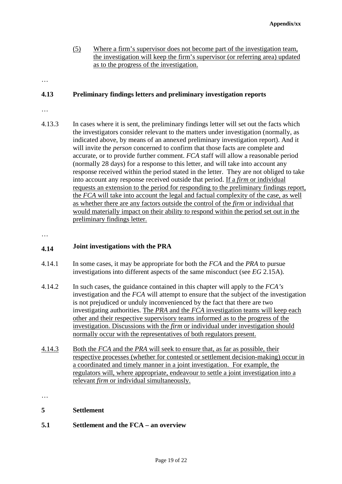- (5) Where a firm's supervisor does not become part of the investigation team, the investigation will keep the firm's supervisor (or referring area) updated as to the progress of the investigation.
- …

## **4.13 Preliminary findings letters and preliminary investigation reports**

- …
- 4.13.3 In cases where it is sent, the preliminary findings letter will set out the facts which the investigators consider relevant to the matters under investigation (normally, as indicated above, by means of an annexed preliminary investigation report). And it will invite the *person* concerned to confirm that those facts are complete and accurate, or to provide further comment. *FCA* staff will allow a reasonable period (normally 28 days) for a response to this letter, and will take into account any response received within the period stated in the letter. They are not obliged to take into account any response received outside that period. If a *firm* or individual requests an extension to the period for responding to the preliminary findings report, the *FCA* will take into account the legal and factual complexity of the case, as well as whether there are any factors outside the control of the *firm* or individual that would materially impact on their ability to respond within the period set out in the preliminary findings letter.

…

## **4.14 Joint investigations with the PRA**

- 4.14.1 In some cases, it may be appropriate for both the *FCA* and the *PRA* to pursue investigations into different aspects of the same misconduct (see *EG* 2.15A).
- 4.14.2 In such cases, the guidance contained in this chapter will apply to the *FCA's*  investigation and the *FCA* will attempt to ensure that the subject of the investigation is not prejudiced or unduly inconvenienced by the fact that there are two investigating authorities. The *PRA* and the *FCA* investigation teams will keep each other and their respective supervisory teams informed as to the progress of the investigation. Discussions with the *firm* or individual under investigation should normally occur with the representatives of both regulators present.
- 4.14.3 Both the *FCA* and the *PRA* will seek to ensure that, as far as possible, their respective processes (whether for contested or settlement decision-making) occur in a coordinated and timely manner in a joint investigation. For example, the regulators will, where appropriate, endeavour to settle a joint investigation into a relevant *firm* or individual simultaneously.
- …

## **5 Settlement**

**5.1 Settlement and the FCA – an overview**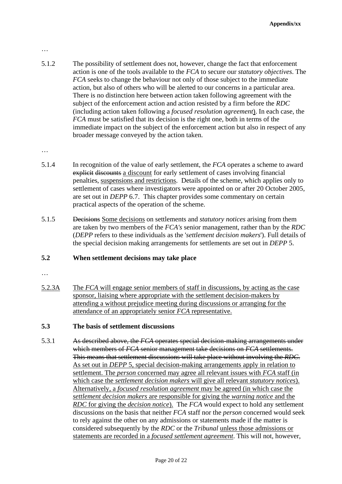5.1.2 The possibility of settlement does not, however, change the fact that enforcement action is one of the tools available to the *FCA* to secure our *statutory objectives*. The *FCA* seeks to change the behaviour not only of those subject to the immediate action, but also of others who will be alerted to our concerns in a particular area. There is no distinction here between action taken following agreement with the subject of the enforcement action and action resisted by a firm before the *RDC*  (including action taken following a *focused resolution agreement*). In each case, the *FCA* must be satisfied that its decision is the right one, both in terms of the immediate impact on the subject of the enforcement action but also in respect of any broader message conveyed by the action taken.

…

- 5.1.4 In recognition of the value of early settlement, the *FCA* operates a scheme to award explicit discounts a discount for early settlement of cases involving financial penalties, suspensions and restrictions. Details of the scheme, which applies only to settlement of cases where investigators were appointed on or after 20 October 2005, are set out in *DEPP* 6.7. This chapter provides some commentary on certain practical aspects of the operation of the scheme.
- 5.1.5 Decisions Some decisions on settlements and *statutory notices* arising from them are taken by two members of the *FCA's* senior management, rather than by the *RDC*  (*DEPP* refers to these individuals as the '*settlement decision makers*'). Full details of the special decision making arrangements for settlements are set out in *DEPP* 5.

## **5.2 When settlement decisions may take place**

- …
- 5.2.3A The *FCA* will engage senior members of staff in discussions, by acting as the case sponsor, liaising where appropriate with the settlement decision-makers by attending a without prejudice meeting during discussions or arranging for the attendance of an appropriately senior *FCA* representative.

## **5.3 The basis of settlement discussions**

5.3.1 As described above, the *FCA* operates special decision-making arrangements under which members of *FCA* senior management take decisions on *FCA* settlements. This means that settlement discussions will take place without involving the *RDC*. As set out in *DEPP* 5, special decision-making arrangements apply in relation to settlement. The *person* concerned may agree all relevant issues with *FCA* staff (in which case the *settlement decision makers* will give all relevant *statutory notices*). Alternatively, a *focused resolution agreement* may be agreed (in which case the *settlement decision makers* are responsible for giving the *warning notice* and the *RDC* for giving the *decision notice*). The *FCA* would expect to hold any settlement discussions on the basis that neither *FCA* staff nor the *person* concerned would seek to rely against the other on any admissions or statements made if the matter is considered subsequently by the *RDC* or the *Tribunal* unless those admissions or statements are recorded in a *focused settlement agreement*. This will not, however,

…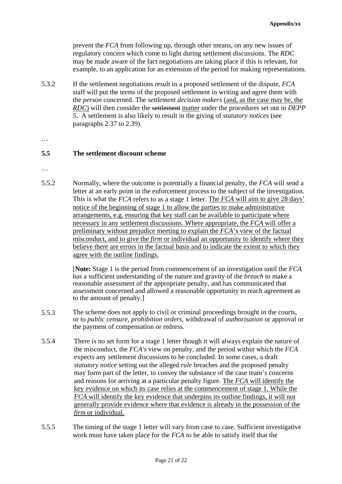prevent the *FCA* from following up, through other means, on any new issues of regulatory concern which come to light during settlement discussions. The *RDC*  may be made aware of the fact negotiations are taking place if this is relevant, for example, to an application for an extension of the period for making representations.

- 5.3.2 If the settlement negotiations result in a proposed settlement of the dispute, *FCA*  staff will put the terms of the proposed settlement in writing and agree them with the *person* concerned. The *settlement decision makers* (and, as the case may be, the *RDC*) will then consider the settlement matter under the procedures set out in *DEPP 5*. A settlement is also likely to result in the giving of *statutory notices* (see paragraphs 2.37 to 2.39).
- …

### **5.5 The settlement discount scheme**

- …
- 5.5.2 Normally, where the outcome is potentially a financial penalty, the *FCA* will send a letter at an early point in the enforcement process to the subject of the investigation. This is what the *FCA* refers to as a stage 1 letter. The *FCA* will aim to give 28 days' notice of the beginning of stage 1 to allow the parties to make administrative arrangements, e.g. ensuring that key staff can be available to participate where necessary in any settlement discussions. Where appropriate, the *FCA* will offer a preliminary without prejudice meeting to explain the *FCA*'s view of the factual misconduct, and to give the *firm* or individual an opportunity to identify where they believe there are errors in the factual basis and to indicate the extent to which they agree with the outline findings.

[**Note:** Stage 1 is the period from commencement of an investigation until the *FCA* has a sufficient understanding of the nature and gravity of the *breach* to make a reasonable assessment of the appropriate penalty, and has communicated that assessment concerned and allowed a reasonable opportunity to reach agreement as to the amount of penalty.]

- 5.5.3 The scheme does not apply to civil or criminal proceedings brought in the courts, or to *public censure*, *prohibition orders*, withdrawal of *authorisation* or approval or the payment of compensation or redress.
- 5.5.4 There is no set form for a stage 1 letter though it will always explain the nature of the misconduct, the *FCA's* view on penalty, and the period within which the *FCA*  expects any settlement discussions to be concluded. In some cases, a draft *statutory notice* setting out the alleged *rule* breaches and the proposed penalty may form part of the letter, to convey the substance of the case team's concerns and reasons for arriving at a particular penalty figure. The *FCA* will identify the key evidence on which its case relies at the commencement of stage 1. While the *FCA* will identify the key evidence that underpins its outline findings, it will not generally provide evidence where that evidence is already in the possession of the *firm* or individual.
- 5.5.5 The timing of the stage 1 letter will vary from case to case. Sufficient investigative work must have taken place for the *FCA* to be able to satisfy itself that the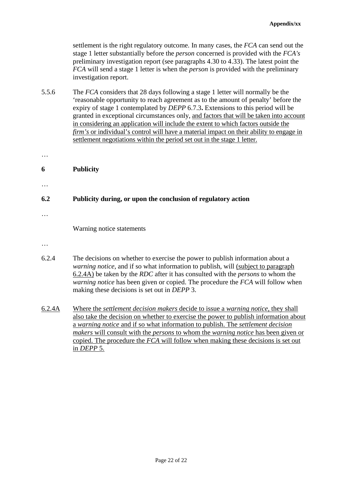settlement is the right regulatory outcome. In many cases, the *FCA* can send out the stage 1 letter substantially before the *person* concerned is provided with the *FCA's*  preliminary investigation report (see paragraphs 4.30 to 4.33). The latest point the *FCA* will send a stage 1 letter is when the *person* is provided with the preliminary investigation report.

- 5.5.6 The *FCA* considers that 28 days following a stage 1 letter will normally be the 'reasonable opportunity to reach agreement as to the amount of penalty' before the expiry of stage 1 contemplated by *DEPP* 6.7.3**.** Extensions to this period will be granted in exceptional circumstances only, and factors that will be taken into account in considering an application will include the extent to which factors outside the *firm's* or individual's control will have a material impact on their ability to engage in settlement negotiations within the period set out in the stage 1 letter.
- …

**6 Publicity** 

…

## **6.2 Publicity during, or upon the conclusion of regulatory action**

…

Warning notice statements

- …
- 6.2.4 The decisions on whether to exercise the power to publish information about a *warning notice*, and if so what information to publish, will (subject to paragraph 6.2.4A) be taken by the *RDC* after it has consulted with the *persons* to whom the *warning notice* has been given or copied. The procedure the *FCA* will follow when making these decisions is set out in *DEPP* 3.
- 6.2.4A Where the *settlement decision makers* decide to issue a *warning notice,* they shall also take the decision on whether to exercise the power to publish information about a *warning notice* and if so what information to publish. The *settlement decision makers* will consult with the *persons* to whom the *warning notice* has been given or copied. The procedure the *FCA* will follow when making these decisions is set out in *DEPP* 5.